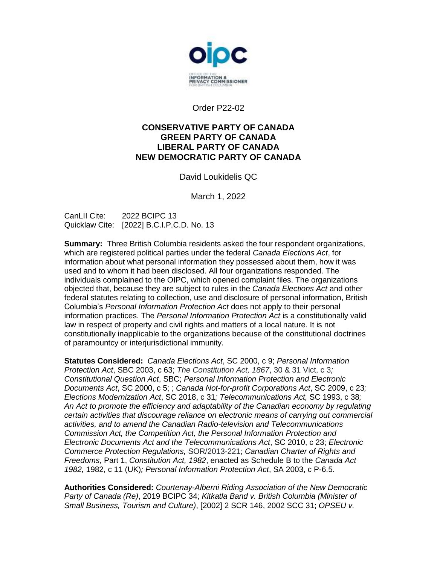

Order P22-02

### **CONSERVATIVE PARTY OF CANADA GREEN PARTY OF CANADA LIBERAL PARTY OF CANADA NEW DEMOCRATIC PARTY OF CANADA**

David Loukidelis QC

March 1, 2022

CanLII Cite: 2022 BCIPC 13 Quicklaw Cite: [2022] B.C.I.P.C.D. No. 13

**Summary:** Three British Columbia residents asked the four respondent organizations, which are registered political parties under the federal *Canada Elections Act*, for information about what personal information they possessed about them, how it was used and to whom it had been disclosed. All four organizations responded. The individuals complained to the OIPC, which opened complaint files. The organizations objected that, because they are subject to rules in the *Canada Elections Act* and other federal statutes relating to collection, use and disclosure of personal information, British Columbia's *Personal Information Protection Act* does not apply to their personal information practices. The *Personal Information Protection Act* is a constitutionally valid law in respect of property and civil rights and matters of a local nature. It is not constitutionally inapplicable to the organizations because of the constitutional doctrines of paramountcy or interjurisdictional immunity.

**Statutes Considered:** *Canada Elections Act*, SC 2000, c 9; *Personal Information Protection Act*, SBC 2003, c 63; *The Constitution Act, 1867*, 30 & 31 Vict, c 3*; Constitutional Question Act*, SBC; *Personal Information Protection and Electronic Documents Act*, SC 2000, c 5; ; *Canada Not-for-profit Corporations Act*, SC 2009, c 23*; Elections Modernization Act*, SC 2018, c 31*; Telecommunications Act,* SC 1993, c 38*; An Act to promote the efficiency and adaptability of the Canadian economy by regulating certain activities that discourage reliance on electronic means of carrying out commercial activities, and to amend the Canadian Radio-television and Telecommunications Commission Act, the Competition Act, the Personal Information Protection and Electronic Documents Act and the Telecommunications Act*, SC 2010, c 23; *Electronic Commerce Protection Regulations,* SOR/2013-221; *Canadian Charter of Rights and Freedoms*, Part 1, *Constitution Act, 1982*, enacted as Schedule B to the *Canada Act 1982,* 1982, c 11 (UK)*; Personal Information Protection Act*, SA 2003, c P-6.5.

**Authorities Considered:** *Courtenay-Alberni Riding Association of the New Democratic Party of Canada (Re)*, 2019 BCIPC 34; *Kitkatla Band v. British Columbia (Minister of Small Business, Tourism and Culture)*, [2002] 2 SCR 146, 2002 SCC 31; *OPSEU v.*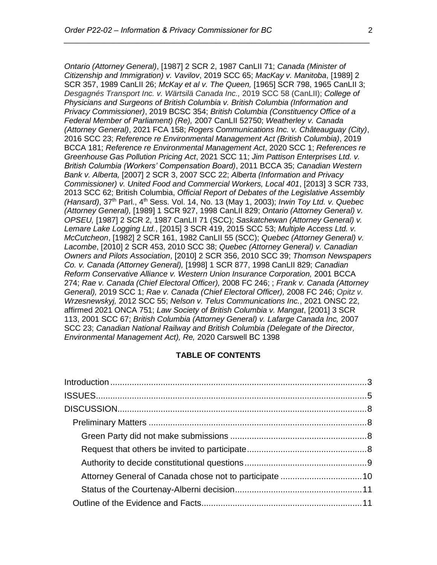*Ontario (Attorney General)*, [1987] 2 SCR 2, 1987 CanLII 71; *Canada (Minister of Citizenship and Immigration) v. Vavilov*, 2019 SCC 65; *MacKay v. Manitoba*, [1989] 2 SCR 357, 1989 CanLII 26; *McKay et al v. The Queen,* [1965] SCR 798, 1965 CanLII 3; *Desgagnés Transport Inc. v. Wärtsilä Canada Inc.,* 2019 SCC 58 (CanLII); *College of Physicians and Surgeons of British Columbia v. British Columbia (Information and Privacy Commissioner)*, 2019 BCSC 354; *British Columbia (Constituency Office of a Federal Member of Parliament) (Re),* 2007 CanLII 52750; *Weatherley v. Canada (Attorney General)*, 2021 FCA 158; *Rogers Communications Inc. v. Châteauguay (City)*, 2016 SCC 23; *Reference re Environmental Management Act (British Columbia)*, 2019 BCCA 181; *Reference re Environmental Management Act*, 2020 SCC 1; *References re Greenhouse Gas Pollution Pricing Act*, 2021 SCC 11; *Jim Pattison Enterprises Ltd. v. British Columbia (Workers' Compensation Board)*, 2011 BCCA 35; *Canadian Western Bank v. Alberta,* [2007] 2 SCR 3, 2007 SCC 22; *Alberta (Information and Privacy Commissioner) v. United Food and Commercial Workers, Local 401*, [2013] 3 SCR 733, 2013 SCC 62; British Columbia, *Official Report of Debates of the Legislative Assembly (Hansard)*, 37th Parl., 4th Sess. Vol. 14, No. 13 (May 1, 2003); *Irwin Toy Ltd. v. Quebec (Attorney General),* [1989] 1 SCR 927, 1998 CanLII 829; *Ontario (Attorney General) v. OPSEU,* [1987] 2 SCR 2, 1987 CanLII 71 (SCC); *Saskatchewan (Attorney General) v. Lemare Lake Logging Ltd.*, [2015] 3 SCR 419, 2015 SCC 53; *Multiple Access Ltd. v. McCutcheon*, [1982] 2 SCR 161, 1982 CanLII 55 (SCC); *Quebec (Attorney General) v. Lacombe*, [2010] 2 SCR 453, 2010 SCC 38; *Quebec (Attorney General) v. Canadian Owners and Pilots Association*, [2010] 2 SCR 356, 2010 SCC 39; *Thomson Newspapers Co. v. Canada (Attorney General),* [1998] 1 SCR 877, 1998 CanLII 829; *Canadian Reform Conservative Alliance v. Western Union Insurance Corporation,* 2001 BCCA 274; *Rae v. Canada (Chief Electoral Officer),* 2008 FC 246; ; *Frank v. Canada (Attorney General),* 2019 SCC 1; *Rae v. Canada (Chief Electoral Officer),* 2008 FC 246; *Opitz v. Wrzesnewskyj,* 2012 SCC 55; *Nelson v. Telus Communications Inc.*, 2021 ONSC 22, affirmed 2021 ONCA 751; *Law Society of British Columbia v. Mangat*, [2001] 3 SCR 113, 2001 SCC 67; *British Columbia (Attorney General) v. Lafarge Canada Inc,* 2007 SCC 23; *Canadian National Railway and British Columbia (Delegate of the Director, Environmental Management Act), Re,* 2020 Carswell BC 1398

### **TABLE OF CONTENTS**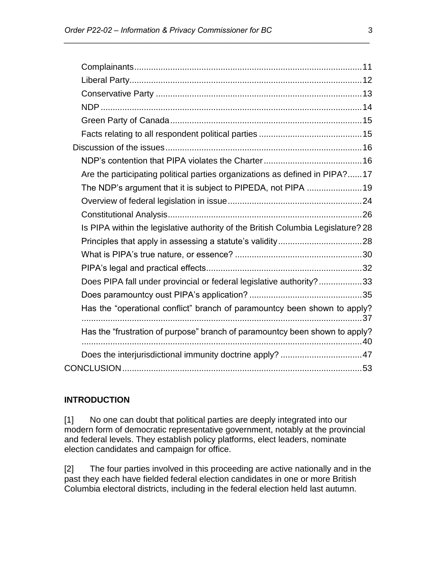| Are the participating political parties organizations as defined in PIPA?17      |  |
|----------------------------------------------------------------------------------|--|
| The NDP's argument that it is subject to PIPEDA, not PIPA 19                     |  |
|                                                                                  |  |
|                                                                                  |  |
| Is PIPA within the legislative authority of the British Columbia Legislature? 28 |  |
|                                                                                  |  |
|                                                                                  |  |
|                                                                                  |  |
| Does PIPA fall under provincial or federal legislative authority?33              |  |
|                                                                                  |  |
| Has the "operational conflict" branch of paramountcy been shown to apply?        |  |
| Has the "frustration of purpose" branch of paramountcy been shown to apply?      |  |
|                                                                                  |  |
|                                                                                  |  |

*\_\_\_\_\_\_\_\_\_\_\_\_\_\_\_\_\_\_\_\_\_\_\_\_\_\_\_\_\_\_\_\_\_\_\_\_\_\_\_\_\_\_\_\_\_\_\_\_\_\_\_\_\_\_\_\_\_\_\_\_\_\_\_\_\_\_\_\_\_\_*

### <span id="page-2-0"></span>**INTRODUCTION**

[1] No one can doubt that political parties are deeply integrated into our modern form of democratic representative government, notably at the provincial and federal levels. They establish policy platforms, elect leaders, nominate election candidates and campaign for office.

[2] The four parties involved in this proceeding are active nationally and in the past they each have fielded federal election candidates in one or more British Columbia electoral districts, including in the federal election held last autumn.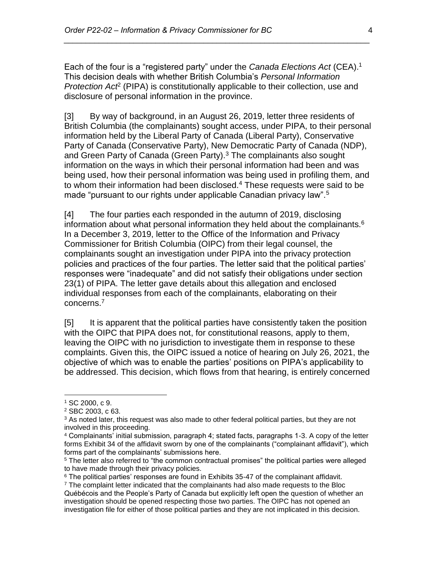Each of the four is a "registered party" under the *Canada Elections Act* (CEA).<sup>1</sup> This decision deals with whether British Columbia's *Personal Information*  Protection Act<sup>2</sup> (PIPA) is constitutionally applicable to their collection, use and disclosure of personal information in the province.

*\_\_\_\_\_\_\_\_\_\_\_\_\_\_\_\_\_\_\_\_\_\_\_\_\_\_\_\_\_\_\_\_\_\_\_\_\_\_\_\_\_\_\_\_\_\_\_\_\_\_\_\_\_\_\_\_\_\_\_\_\_\_\_\_\_\_\_\_\_\_*

[3] By way of background, in an August 26, 2019, letter three residents of British Columbia (the complainants) sought access, under PIPA, to their personal information held by the Liberal Party of Canada (Liberal Party), Conservative Party of Canada (Conservative Party), New Democratic Party of Canada (NDP), and Green Party of Canada (Green Party).<sup>3</sup> The complainants also sought information on the ways in which their personal information had been and was being used, how their personal information was being used in profiling them, and to whom their information had been disclosed.<sup>4</sup> These requests were said to be made "pursuant to our rights under applicable Canadian privacy law".<sup>5</sup>

[4] The four parties each responded in the autumn of 2019, disclosing information about what personal information they held about the complainants.<sup>6</sup> In a December 3, 2019, letter to the Office of the Information and Privacy Commissioner for British Columbia (OIPC) from their legal counsel, the complainants sought an investigation under PIPA into the privacy protection policies and practices of the four parties. The letter said that the political parties' responses were "inadequate" and did not satisfy their obligations under section 23(1) of PIPA. The letter gave details about this allegation and enclosed individual responses from each of the complainants, elaborating on their concerns.<sup>7</sup>

[5] It is apparent that the political parties have consistently taken the position with the OIPC that PIPA does not, for constitutional reasons, apply to them, leaving the OIPC with no jurisdiction to investigate them in response to these complaints. Given this, the OIPC issued a notice of hearing on July 26, 2021, the objective of which was to enable the parties' positions on PIPA's applicability to be addressed. This decision, which flows from that hearing, is entirely concerned

<sup>1</sup> SC 2000, c 9.

<sup>2</sup> SBC 2003, c 63.

 $3$  As noted later, this request was also made to other federal political parties, but they are not involved in this proceeding.

<sup>4</sup> Complainants' initial submission, paragraph 4; stated facts, paragraphs 1-3. A copy of the letter forms Exhibit 34 of the affidavit sworn by one of the complainants ("complainant affidavit"), which forms part of the complainants' submissions here.

<sup>&</sup>lt;sup>5</sup> The letter also referred to "the common contractual promises" the political parties were alleged to have made through their privacy policies.

 $6$  The political parties' responses are found in Exhibits 35-47 of the complainant affidavit.

 $<sup>7</sup>$  The complaint letter indicated that the complainants had also made requests to the Bloc</sup> Québécois and the People's Party of Canada but explicitly left open the question of whether an investigation should be opened respecting those two parties. The OIPC has not opened an investigation file for either of those political parties and they are not implicated in this decision.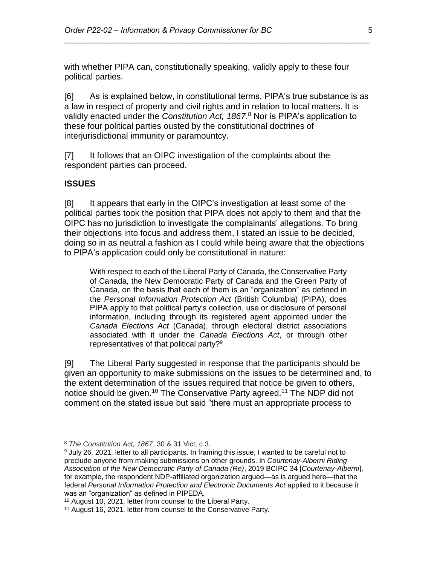with whether PIPA can, constitutionally speaking, validly apply to these four political parties.

*\_\_\_\_\_\_\_\_\_\_\_\_\_\_\_\_\_\_\_\_\_\_\_\_\_\_\_\_\_\_\_\_\_\_\_\_\_\_\_\_\_\_\_\_\_\_\_\_\_\_\_\_\_\_\_\_\_\_\_\_\_\_\_\_\_\_\_\_\_\_*

[6] As is explained below, in constitutional terms, PIPA's true substance is as a law in respect of property and civil rights and in relation to local matters. It is validly enacted under the *Constitution Act, 1867*. <sup>8</sup> Nor is PIPA's application to these four political parties ousted by the constitutional doctrines of interjurisdictional immunity or paramountcy.

[7] It follows that an OIPC investigation of the complaints about the respondent parties can proceed.

#### <span id="page-4-0"></span>**ISSUES**

 $\overline{a}$ 

[8] It appears that early in the OIPC's investigation at least some of the political parties took the position that PIPA does not apply to them and that the OIPC has no jurisdiction to investigate the complainants' allegations. To bring their objections into focus and address them, I stated an issue to be decided, doing so in as neutral a fashion as I could while being aware that the objections to PIPA's application could only be constitutional in nature:

With respect to each of the Liberal Party of Canada, the Conservative Party of Canada, the New Democratic Party of Canada and the Green Party of Canada, on the basis that each of them is an "organization" as defined in the *Personal Information Protection Act* (British Columbia) (PIPA), does PIPA apply to that political party's collection, use or disclosure of personal information, including through its registered agent appointed under the *Canada Elections Act* (Canada), through electoral district associations associated with it under the *Canada Elections Act*, or through other representatives of that political party? $9$ 

[9] The Liberal Party suggested in response that the participants should be given an opportunity to make submissions on the issues to be determined and, to the extent determination of the issues required that notice be given to others, notice should be given.<sup>10</sup> The Conservative Party agreed.<sup>11</sup> The NDP did not comment on the stated issue but said "there must an appropriate process to

<sup>8</sup> *The Constitution Act, 1867*, 30 & 31 Vict, c 3.

<sup>9</sup> July 26, 2021, letter to all participants. In framing this issue, I wanted to be careful not to preclude anyone from making submissions on other grounds. In *Courtenay-Alberni Riding Association of the New Democratic Party of Canada (Re)*, 2019 BCIPC 34 [*Courtenay-Alberni*], for example, the respondent NDP-affiliated organization argued—as is argued here—that the federal *Personal Information Protection and Electronic Documents Act* applied to it because it was an "organization" as defined in PIPEDA.

<sup>10</sup> August 10, 2021, letter from counsel to the Liberal Party.

<sup>11</sup> August 16, 2021, letter from counsel to the Conservative Party.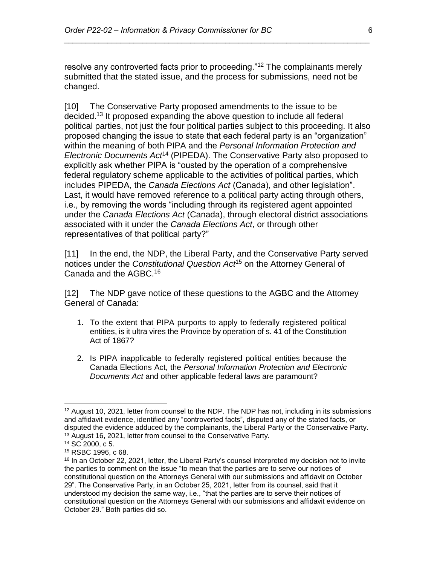resolve any controverted facts prior to proceeding."<sup>12</sup> The complainants merely submitted that the stated issue, and the process for submissions, need not be changed.

*\_\_\_\_\_\_\_\_\_\_\_\_\_\_\_\_\_\_\_\_\_\_\_\_\_\_\_\_\_\_\_\_\_\_\_\_\_\_\_\_\_\_\_\_\_\_\_\_\_\_\_\_\_\_\_\_\_\_\_\_\_\_\_\_\_\_\_\_\_\_*

[10] The Conservative Party proposed amendments to the issue to be decided.<sup>13</sup> It proposed expanding the above question to include all federal political parties, not just the four political parties subject to this proceeding. It also proposed changing the issue to state that each federal party is an "organization" within the meaning of both PIPA and the *Personal Information Protection and Electronic Documents Act*<sup>14</sup> (PIPEDA). The Conservative Party also proposed to explicitly ask whether PIPA is "ousted by the operation of a comprehensive federal regulatory scheme applicable to the activities of political parties, which includes PIPEDA, the *Canada Elections Act* (Canada), and other legislation". Last, it would have removed reference to a political party acting through others, i.e., by removing the words "including through its registered agent appointed under the *Canada Elections Act* (Canada), through electoral district associations associated with it under the *Canada Elections Act*, or through other representatives of that political party?"

[11] In the end, the NDP, the Liberal Party, and the Conservative Party served notices under the *Constitutional Question Act*<sup>15</sup> on the Attorney General of Canada and the AGBC.<sup>16</sup>

[12] The NDP gave notice of these questions to the AGBC and the Attorney General of Canada:

- 1. To the extent that PIPA purports to apply to federally registered political entities, is it ultra vires the Province by operation of s. 41 of the Constitution Act of 1867?
- 2. Is PIPA inapplicable to federally registered political entities because the Canada Elections Act, the *Personal Information Protection and Electronic Documents Act* and other applicable federal laws are paramount?

<sup>&</sup>lt;sup>12</sup> August 10, 2021, letter from counsel to the NDP. The NDP has not, including in its submissions and affidavit evidence, identified any "controverted facts", disputed any of the stated facts, or disputed the evidence adduced by the complainants, the Liberal Party or the Conservative Party. <sup>13</sup> August 16, 2021, letter from counsel to the Conservative Party.

<sup>14</sup> SC 2000, c 5.

<sup>15</sup> RSBC 1996, c 68.

<sup>&</sup>lt;sup>16</sup> In an October 22, 2021, letter, the Liberal Party's counsel interpreted my decision not to invite the parties to comment on the issue "to mean that the parties are to serve our notices of constitutional question on the Attorneys General with our submissions and affidavit on October 29". The Conservative Party, in an October 25, 2021, letter from its counsel, said that it understood my decision the same way, i.e., "that the parties are to serve their notices of constitutional question on the Attorneys General with our submissions and affidavit evidence on October 29." Both parties did so.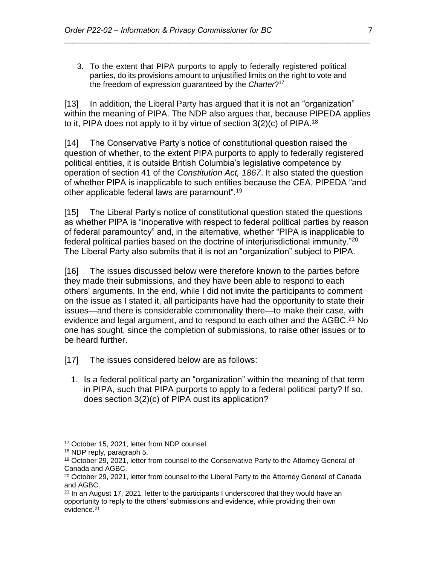3. To the extent that PIPA purports to apply to federally registered political parties, do its provisions amount to unjustified limits on the right to vote and the freedom of expression guaranteed by the *Charter*? 17

*\_\_\_\_\_\_\_\_\_\_\_\_\_\_\_\_\_\_\_\_\_\_\_\_\_\_\_\_\_\_\_\_\_\_\_\_\_\_\_\_\_\_\_\_\_\_\_\_\_\_\_\_\_\_\_\_\_\_\_\_\_\_\_\_\_\_\_\_\_\_*

[13] In addition, the Liberal Party has argued that it is not an "organization" within the meaning of PIPA. The NDP also argues that, because PIPEDA applies to it, PIPA does not apply to it by virtue of section  $3(2)(c)$  of PIPA.<sup>18</sup>

[14] The Conservative Party's notice of constitutional question raised the question of whether, to the extent PIPA purports to apply to federally registered political entities, it is outside British Columbia's legislative competence by operation of section 41 of the *Constitution Act, 1867*. It also stated the question of whether PIPA is inapplicable to such entities because the CEA, PIPEDA "and other applicable federal laws are paramount".<sup>19</sup>

[15] The Liberal Party's notice of constitutional question stated the questions as whether PIPA is "inoperative with respect to federal political parties by reason of federal paramountcy" and, in the alternative, whether "PIPA is inapplicable to federal political parties based on the doctrine of interjurisdictional immunity."<sup>20</sup> The Liberal Party also submits that it is not an "organization" subject to PIPA.

[16] The issues discussed below were therefore known to the parties before they made their submissions, and they have been able to respond to each others' arguments. In the end, while I did not invite the participants to comment on the issue as I stated it, all participants have had the opportunity to state their issues—and there is considerable commonality there—to make their case, with evidence and legal argument, and to respond to each other and the AGBC.<sup>21</sup> No one has sought, since the completion of submissions, to raise other issues or to be heard further.

- [17] The issues considered below are as follows:
	- 1. Is a federal political party an "organization" within the meaning of that term in PIPA, such that PIPA purports to apply to a federal political party? If so, does section 3(2)(c) of PIPA oust its application?

<sup>17</sup> October 15, 2021, letter from NDP counsel.

<sup>18</sup> NDP reply, paragraph 5.

<sup>19</sup> October 29, 2021, letter from counsel to the Conservative Party to the Attorney General of Canada and AGBC.

 $20$  October 29, 2021, letter from counsel to the Liberal Party to the Attorney General of Canada and AGBC.

 $21$  In an August 17, 2021, letter to the participants I underscored that they would have an opportunity to reply to the others' submissions and evidence, while providing their own evidence.21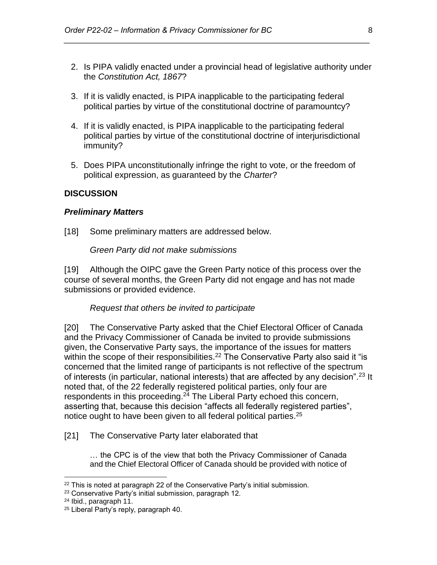2. Is PIPA validly enacted under a provincial head of legislative authority under the *Constitution Act, 1867*?

*\_\_\_\_\_\_\_\_\_\_\_\_\_\_\_\_\_\_\_\_\_\_\_\_\_\_\_\_\_\_\_\_\_\_\_\_\_\_\_\_\_\_\_\_\_\_\_\_\_\_\_\_\_\_\_\_\_\_\_\_\_\_\_\_\_\_\_\_\_\_*

- 3. If it is validly enacted, is PIPA inapplicable to the participating federal political parties by virtue of the constitutional doctrine of paramountcy?
- 4. If it is validly enacted, is PIPA inapplicable to the participating federal political parties by virtue of the constitutional doctrine of interjurisdictional immunity?
- 5. Does PIPA unconstitutionally infringe the right to vote, or the freedom of political expression, as guaranteed by the *Charter*?

#### <span id="page-7-1"></span><span id="page-7-0"></span>**DISCUSSION**

#### *Preliminary Matters*

<span id="page-7-2"></span>[18] Some preliminary matters are addressed below.

*Green Party did not make submissions* 

<span id="page-7-3"></span>[19] Although the OIPC gave the Green Party notice of this process over the course of several months, the Green Party did not engage and has not made submissions or provided evidence.

#### *Request that others be invited to participate*

[20] The Conservative Party asked that the Chief Electoral Officer of Canada and the Privacy Commissioner of Canada be invited to provide submissions given, the Conservative Party says, the importance of the issues for matters within the scope of their responsibilities.<sup>22</sup> The Conservative Party also said it "is concerned that the limited range of participants is not reflective of the spectrum of interests (in particular, national interests) that are affected by any decision".<sup>23</sup> It noted that, of the 22 federally registered political parties, only four are respondents in this proceeding.<sup>24</sup> The Liberal Party echoed this concern, asserting that, because this decision "affects all federally registered parties", notice ought to have been given to all federal political parties.<sup>25</sup>

[21] The Conservative Party later elaborated that

… the CPC is of the view that both the Privacy Commissioner of Canada and the Chief Electoral Officer of Canada should be provided with notice of

 $22$  This is noted at paragraph 22 of the Conservative Party's initial submission.

<sup>23</sup> Conservative Party's initial submission, paragraph 12.

<sup>24</sup> Ibid., paragraph 11.

<sup>25</sup> Liberal Party's reply, paragraph 40.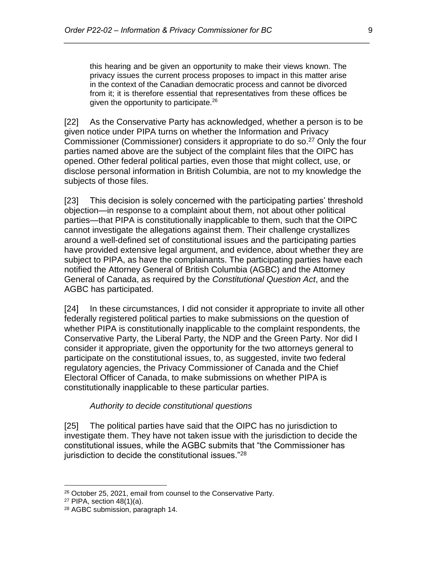this hearing and be given an opportunity to make their views known. The privacy issues the current process proposes to impact in this matter arise in the context of the Canadian democratic process and cannot be divorced from it; it is therefore essential that representatives from these offices be given the opportunity to participate.<sup>26</sup>

*\_\_\_\_\_\_\_\_\_\_\_\_\_\_\_\_\_\_\_\_\_\_\_\_\_\_\_\_\_\_\_\_\_\_\_\_\_\_\_\_\_\_\_\_\_\_\_\_\_\_\_\_\_\_\_\_\_\_\_\_\_\_\_\_\_\_\_\_\_\_*

[22] As the Conservative Party has acknowledged, whether a person is to be given notice under PIPA turns on whether the Information and Privacy Commissioner (Commissioner) considers it appropriate to do so.<sup>27</sup> Only the four parties named above are the subject of the complaint files that the OIPC has opened. Other federal political parties, even those that might collect, use, or disclose personal information in British Columbia, are not to my knowledge the subjects of those files.

[23] This decision is solely concerned with the participating parties' threshold objection—in response to a complaint about them, not about other political parties—that PIPA is constitutionally inapplicable to them, such that the OIPC cannot investigate the allegations against them. Their challenge crystallizes around a well-defined set of constitutional issues and the participating parties have provided extensive legal argument, and evidence, about whether they are subject to PIPA, as have the complainants. The participating parties have each notified the Attorney General of British Columbia (AGBC) and the Attorney General of Canada, as required by the *Constitutional Question Act*, and the AGBC has participated.

[24] In these circumstances, I did not consider it appropriate to invite all other federally registered political parties to make submissions on the question of whether PIPA is constitutionally inapplicable to the complaint respondents, the Conservative Party, the Liberal Party, the NDP and the Green Party. Nor did I consider it appropriate, given the opportunity for the two attorneys general to participate on the constitutional issues, to, as suggested, invite two federal regulatory agencies, the Privacy Commissioner of Canada and the Chief Electoral Officer of Canada, to make submissions on whether PIPA is constitutionally inapplicable to these particular parties.

#### *Authority to decide constitutional questions*

<span id="page-8-0"></span>[25] The political parties have said that the OIPC has no jurisdiction to investigate them. They have not taken issue with the jurisdiction to decide the constitutional issues, while the AGBC submits that "the Commissioner has jurisdiction to decide the constitutional issues."<sup>28</sup>

<sup>26</sup> October 25, 2021, email from counsel to the Conservative Party.

 $27$  PIPA, section 48(1)(a).

<sup>28</sup> AGBC submission, paragraph 14.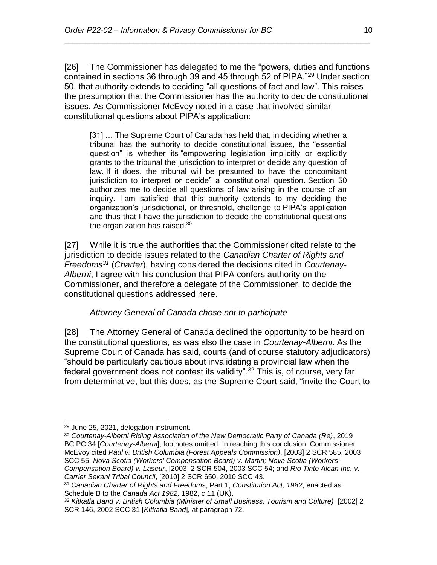[26] The Commissioner has delegated to me the "powers, duties and functions contained in sections 36 through 39 and 45 through 52 of PIPA."<sup>29</sup> Under section 50, that authority extends to deciding "all questions of fact and law". This raises the presumption that the Commissioner has the authority to decide constitutional issues. As Commissioner McEvoy noted in a case that involved similar constitutional questions about PIPA's application:

*\_\_\_\_\_\_\_\_\_\_\_\_\_\_\_\_\_\_\_\_\_\_\_\_\_\_\_\_\_\_\_\_\_\_\_\_\_\_\_\_\_\_\_\_\_\_\_\_\_\_\_\_\_\_\_\_\_\_\_\_\_\_\_\_\_\_\_\_\_\_*

[31] … The Supreme Court of Canada has held that, in deciding whether a tribunal has the authority to decide constitutional issues, the "essential question" is whether its "empowering legislation implicitly or explicitly grants to the tribunal the jurisdiction to interpret or decide any question of law. If it does, the tribunal will be presumed to have the concomitant jurisdiction to interpret or decide" a constitutional question. Section 50 authorizes me to decide all questions of law arising in the course of an inquiry. I am satisfied that this authority extends to my deciding the organization's jurisdictional, or threshold, challenge to PIPA's application and thus that I have the jurisdiction to decide the constitutional questions the organization has raised. $30$ 

[27] While it is true the authorities that the Commissioner cited relate to the jurisdiction to decide issues related to the *Canadian Charter of Rights and Freedoms<sup>31</sup>* (*Charter*), having considered the decisions cited in *Courtenay-Alberni*, I agree with his conclusion that PIPA confers authority on the Commissioner, and therefore a delegate of the Commissioner, to decide the constitutional questions addressed here.

### *Attorney General of Canada chose not to participate*

<span id="page-9-0"></span>[28] The Attorney General of Canada declined the opportunity to be heard on the constitutional questions, as was also the case in *Courtenay-Alberni*. As the Supreme Court of Canada has said, courts (and of course statutory adjudicators) "should be particularly cautious about invalidating a provincial law when the federal government does not contest its validity".<sup>32</sup> This is, of course, very far from determinative, but this does, as the Supreme Court said, "invite the Court to

 $\overline{a}$ 

<sup>30</sup> *Courtenay-Alberni Riding Association of the New Democratic Party of Canada (Re)*, 2019 BCIPC 34 [*Courtenay-Alberni*], footnotes omitted. In reaching this conclusion, Commissioner McEvoy cited *Paul v. British Columbia (Forest Appeals Commission)*, [2003] 2 SCR 585, 2003 SCC 55; *Nova Scotia (Workers' Compensation Board) v. Martin; Nova Scotia (Workers' Compensation Board) v. Laseur*, [2003] 2 SCR 504, 2003 SCC 54; and *Rio Tinto Alcan Inc. v. Carrier Sekani Tribal Council*, [2010] 2 SCR 650, 2010 SCC 43.

<sup>29</sup> June 25, 2021, delegation instrument.

<sup>31</sup> *Canadian Charter of Rights and Freedoms*, Part 1, *Constitution Act, 1982*, enacted as Schedule B to the *Canada Act 1982,* 1982, c 11 (UK).

<sup>32</sup> *Kitkatla Band v. British Columbia (Minister of Small Business, Tourism and Culture)*, [2002] 2 SCR 146, 2002 SCC 31 [*Kitkatla Band*], at paragraph 72.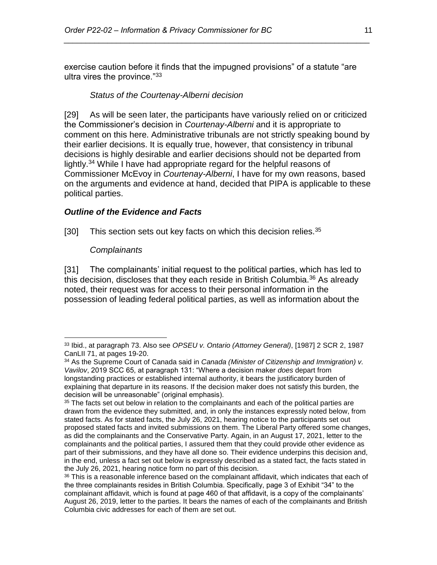<span id="page-10-0"></span>exercise caution before it finds that the impugned provisions" of a statute "are ultra vires the province."<sup>33</sup>

*\_\_\_\_\_\_\_\_\_\_\_\_\_\_\_\_\_\_\_\_\_\_\_\_\_\_\_\_\_\_\_\_\_\_\_\_\_\_\_\_\_\_\_\_\_\_\_\_\_\_\_\_\_\_\_\_\_\_\_\_\_\_\_\_\_\_\_\_\_\_*

### *Status of the Courtenay-Alberni decision*

[29] As will be seen later, the participants have variously relied on or criticized the Commissioner's decision in *Courtenay-Alberni* and it is appropriate to comment on this here. Administrative tribunals are not strictly speaking bound by their earlier decisions. It is equally true, however, that consistency in tribunal decisions is highly desirable and earlier decisions should not be departed from lightly.<sup>34</sup> While I have had appropriate regard for the helpful reasons of Commissioner McEvoy in *Courtenay-Alberni*, I have for my own reasons, based on the arguments and evidence at hand, decided that PIPA is applicable to these political parties.

### <span id="page-10-1"></span>*Outline of the Evidence and Facts*

<span id="page-10-2"></span>[30] This section sets out key facts on which this decision relies. $35$ 

### *Complainants*

[31] The complainants' initial request to the political parties, which has led to this decision, discloses that they each reside in British Columbia.<sup>36</sup> As already noted, their request was for access to their personal information in the possession of leading federal political parties, as well as information about the

 $\overline{a}$ <sup>33</sup> Ibid., at paragraph 73. Also see *OPSEU v. Ontario (Attorney General)*, [1987] 2 SCR 2, 1987 CanLII 71, at pages 19-20.

<sup>34</sup> As the Supreme Court of Canada said in *Canada (Minister of Citizenship and Immigration) v. Vavilov*, 2019 SCC 65, at paragraph 131: "Where a decision maker *does* depart from longstanding practices or established internal authority, it bears the justificatory burden of explaining that departure in its reasons. If the decision maker does not satisfy this burden, the decision will be unreasonable" (original emphasis).

<sup>&</sup>lt;sup>35</sup> The facts set out below in relation to the complainants and each of the political parties are drawn from the evidence they submitted, and, in only the instances expressly noted below, from stated facts. As for stated facts, the July 26, 2021, hearing notice to the participants set out proposed stated facts and invited submissions on them. The Liberal Party offered some changes, as did the complainants and the Conservative Party. Again, in an August 17, 2021, letter to the complainants and the political parties, I assured them that they could provide other evidence as part of their submissions, and they have all done so. Their evidence underpins this decision and, in the end, unless a fact set out below is expressly described as a stated fact, the facts stated in the July 26, 2021, hearing notice form no part of this decision.

<sup>&</sup>lt;sup>36</sup> This is a reasonable inference based on the complainant affidavit, which indicates that each of the three complainants resides in British Columbia. Specifically, page 3 of Exhibit "34" to the complainant affidavit, which is found at page 460 of that affidavit, is a copy of the complainants' August 26, 2019, letter to the parties. It bears the names of each of the complainants and British Columbia civic addresses for each of them are set out.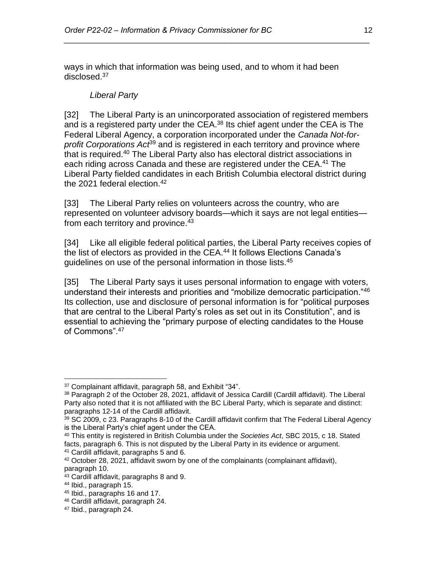<span id="page-11-0"></span>ways in which that information was being used, and to whom it had been disclosed.<sup>37</sup>

*\_\_\_\_\_\_\_\_\_\_\_\_\_\_\_\_\_\_\_\_\_\_\_\_\_\_\_\_\_\_\_\_\_\_\_\_\_\_\_\_\_\_\_\_\_\_\_\_\_\_\_\_\_\_\_\_\_\_\_\_\_\_\_\_\_\_\_\_\_\_*

### *Liberal Party*

[32] The Liberal Party is an unincorporated association of registered members and is a registered party under the CEA.<sup>38</sup> Its chief agent under the CEA is The Federal Liberal Agency, a corporation incorporated under the *Canada Not-forprofit Corporations Act*<sup>39</sup> and is registered in each territory and province where that is required.<sup>40</sup> The Liberal Party also has electoral district associations in each riding across Canada and these are registered under the CEA.<sup>41</sup> The Liberal Party fielded candidates in each British Columbia electoral district during the 2021 federal election. $42$ 

[33] The Liberal Party relies on volunteers across the country, who are represented on volunteer advisory boards—which it says are not legal entities from each territory and province.<sup>43</sup>

[34] Like all eligible federal political parties, the Liberal Party receives copies of the list of electors as provided in the CEA.<sup>44</sup> It follows Elections Canada's guidelines on use of the personal information in those lists.<sup>45</sup>

[35] The Liberal Party says it uses personal information to engage with voters, understand their interests and priorities and "mobilize democratic participation."<sup>46</sup> Its collection, use and disclosure of personal information is for "political purposes that are central to the Liberal Party's roles as set out in its Constitution", and is essential to achieving the "primary purpose of electing candidates to the House of Commons".<sup>47</sup>

 $\overline{a}$ <sup>37</sup> Complainant affidavit, paragraph 58, and Exhibit "34".

<sup>38</sup> Paragraph 2 of the October 28, 2021, affidavit of Jessica Cardill (Cardill affidavit). The Liberal Party also noted that it is not affiliated with the BC Liberal Party, which is separate and distinct: paragraphs 12-14 of the Cardill affidavit.

<sup>39</sup> SC 2009, c 23. Paragraphs 8-10 of the Cardill affidavit confirm that The Federal Liberal Agency is the Liberal Party's chief agent under the CEA.

<sup>40</sup> This entity is registered in British Columbia under the *Societies Act*, SBC 2015, c 18. Stated facts, paragraph 6. This is not disputed by the Liberal Party in its evidence or argument.

<sup>41</sup> Cardill affidavit, paragraphs 5 and 6.

 $42$  October 28, 2021, affidavit sworn by one of the complainants (complainant affidavit), paragraph 10.

<sup>43</sup> Cardill affidavit, paragraphs 8 and 9.

<sup>44</sup> Ibid., paragraph 15.

<sup>45</sup> Ibid., paragraphs 16 and 17.

<sup>46</sup> Cardill affidavit, paragraph 24.

<sup>47</sup> Ibid., paragraph 24.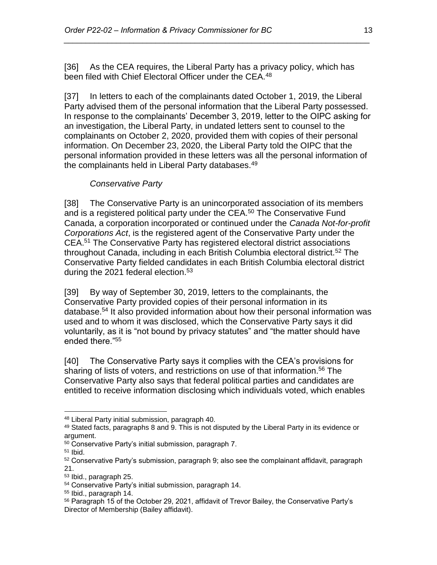[36] As the CEA requires, the Liberal Party has a privacy policy, which has been filed with Chief Electoral Officer under the CEA.<sup>48</sup>

*\_\_\_\_\_\_\_\_\_\_\_\_\_\_\_\_\_\_\_\_\_\_\_\_\_\_\_\_\_\_\_\_\_\_\_\_\_\_\_\_\_\_\_\_\_\_\_\_\_\_\_\_\_\_\_\_\_\_\_\_\_\_\_\_\_\_\_\_\_\_*

[37] In letters to each of the complainants dated October 1, 2019, the Liberal Party advised them of the personal information that the Liberal Party possessed. In response to the complainants' December 3, 2019, letter to the OIPC asking for an investigation, the Liberal Party, in undated letters sent to counsel to the complainants on October 2, 2020, provided them with copies of their personal information. On December 23, 2020, the Liberal Party told the OIPC that the personal information provided in these letters was all the personal information of the complainants held in Liberal Party databases.<sup>49</sup>

# *Conservative Party*

<span id="page-12-0"></span>[38] The Conservative Party is an unincorporated association of its members and is a registered political party under the CEA.<sup>50</sup> The Conservative Fund Canada, a corporation incorporated or continued under the *Canada Not-for-profit Corporations Act*, is the registered agent of the Conservative Party under the CEA.<sup>51</sup> The Conservative Party has registered electoral district associations throughout Canada, including in each British Columbia electoral district.<sup>52</sup> The Conservative Party fielded candidates in each British Columbia electoral district during the 2021 federal election.<sup>53</sup>

[39] By way of September 30, 2019, letters to the complainants, the Conservative Party provided copies of their personal information in its database.<sup>54</sup> It also provided information about how their personal information was used and to whom it was disclosed, which the Conservative Party says it did voluntarily, as it is "not bound by privacy statutes" and "the matter should have ended there."<sup>55</sup>

[40] The Conservative Party says it complies with the CEA's provisions for sharing of lists of voters, and restrictions on use of that information.<sup>56</sup> The Conservative Party also says that federal political parties and candidates are entitled to receive information disclosing which individuals voted, which enables

 $51$  Ibid.

<sup>48</sup> Liberal Party initial submission, paragraph 40.

<sup>49</sup> Stated facts, paragraphs 8 and 9. This is not disputed by the Liberal Party in its evidence or argument.

<sup>&</sup>lt;sup>50</sup> Conservative Party's initial submission, paragraph 7.

<sup>52</sup> Conservative Party's submission, paragraph 9; also see the complainant affidavit, paragraph 21.

<sup>53</sup> Ibid., paragraph 25.

<sup>54</sup> Conservative Party's initial submission, paragraph 14.

<sup>55</sup> Ibid., paragraph 14.

<sup>&</sup>lt;sup>56</sup> Paragraph 15 of the October 29, 2021, affidavit of Trevor Bailey, the Conservative Party's Director of Membership (Bailey affidavit).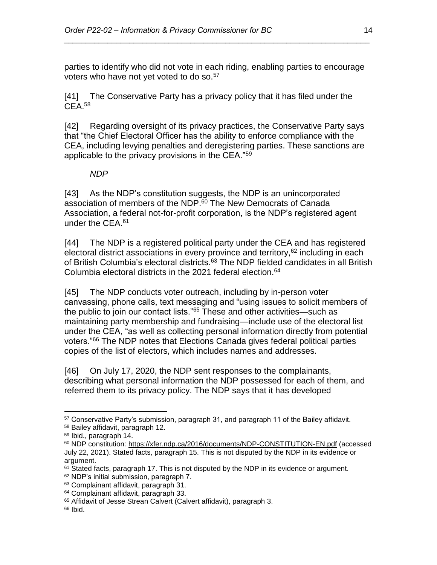parties to identify who did not vote in each riding, enabling parties to encourage voters who have not yet voted to do so.<sup>57</sup>

*\_\_\_\_\_\_\_\_\_\_\_\_\_\_\_\_\_\_\_\_\_\_\_\_\_\_\_\_\_\_\_\_\_\_\_\_\_\_\_\_\_\_\_\_\_\_\_\_\_\_\_\_\_\_\_\_\_\_\_\_\_\_\_\_\_\_\_\_\_\_*

[41] The Conservative Party has a privacy policy that it has filed under the CEA.<sup>58</sup>

[42] Regarding oversight of its privacy practices, the Conservative Party says that "the Chief Electoral Officer has the ability to enforce compliance with the CEA, including levying penalties and deregistering parties. These sanctions are applicable to the privacy provisions in the CEA."<sup>59</sup>

#### *NDP*

<span id="page-13-0"></span>[43] As the NDP's constitution suggests, the NDP is an unincorporated association of members of the NDP.<sup>60</sup> The New Democrats of Canada Association, a federal not-for-profit corporation, is the NDP's registered agent under the CEA.<sup>61</sup>

[44] The NDP is a registered political party under the CEA and has registered electoral district associations in every province and territory,<sup>62</sup> including in each of British Columbia's electoral districts.<sup>63</sup> The NDP fielded candidates in all British Columbia electoral districts in the 2021 federal election.<sup>64</sup>

[45] The NDP conducts voter outreach, including by in-person voter canvassing, phone calls, text messaging and "using issues to solicit members of the public to join our contact lists."<sup>65</sup> These and other activities—such as maintaining party membership and fundraising—include use of the electoral list under the CEA, "as well as collecting personal information directly from potential voters."<sup>66</sup> The NDP notes that Elections Canada gives federal political parties copies of the list of electors, which includes names and addresses.

[46] On July 17, 2020, the NDP sent responses to the complainants, describing what personal information the NDP possessed for each of them, and referred them to its privacy policy. The NDP says that it has developed

<sup>57</sup> Conservative Party's submission, paragraph 31, and paragraph 11 of the Bailey affidavit.

<sup>58</sup> Bailey affidavit, paragraph 12.

<sup>59</sup> Ibid., paragraph 14.

<sup>60</sup> NDP constitution:<https://xfer.ndp.ca/2016/documents/NDP-CONSTITUTION-EN.pdf> (accessed July 22, 2021). Stated facts, paragraph 15. This is not disputed by the NDP in its evidence or argument.

 $61$  Stated facts, paragraph 17. This is not disputed by the NDP in its evidence or argument.

<sup>62</sup> NDP's initial submission, paragraph 7.

<sup>63</sup> Complainant affidavit, paragraph 31.

<sup>64</sup> Complainant affidavit, paragraph 33.

<sup>&</sup>lt;sup>65</sup> Affidavit of Jesse Strean Calvert (Calvert affidavit), paragraph 3.

 $66$  Ibid.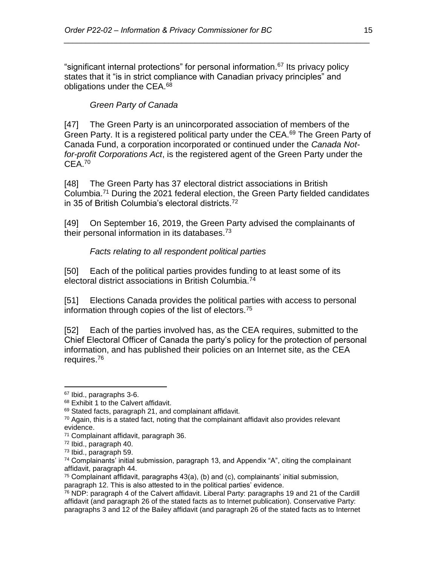<span id="page-14-0"></span>"significant internal protections" for personal information.<sup>67</sup> Its privacy policy states that it "is in strict compliance with Canadian privacy principles" and obligations under the CEA.<sup>68</sup>

*\_\_\_\_\_\_\_\_\_\_\_\_\_\_\_\_\_\_\_\_\_\_\_\_\_\_\_\_\_\_\_\_\_\_\_\_\_\_\_\_\_\_\_\_\_\_\_\_\_\_\_\_\_\_\_\_\_\_\_\_\_\_\_\_\_\_\_\_\_\_*

## *Green Party of Canada*

[47] The Green Party is an unincorporated association of members of the Green Party. It is a registered political party under the CEA.<sup>69</sup> The Green Party of Canada Fund, a corporation incorporated or continued under the *Canada Notfor-profit Corporations Act*, is the registered agent of the Green Party under the  $CEA.70$ 

[48] The Green Party has 37 electoral district associations in British Columbia.<sup>71</sup> During the 2021 federal election, the Green Party fielded candidates in 35 of British Columbia's electoral districts.<sup>72</sup>

<span id="page-14-1"></span>[49] On September 16, 2019, the Green Party advised the complainants of their personal information in its databases. $73$ 

#### *Facts relating to all respondent political parties*

[50] Each of the political parties provides funding to at least some of its electoral district associations in British Columbia.<sup>74</sup>

[51] Elections Canada provides the political parties with access to personal information through copies of the list of electors.<sup>75</sup>

[52] Each of the parties involved has, as the CEA requires, submitted to the Chief Electoral Officer of Canada the party's policy for the protection of personal information, and has published their policies on an Internet site, as the CEA requires.<sup>76</sup>

<sup>67</sup> Ibid., paragraphs 3-6.

<sup>&</sup>lt;sup>68</sup> Exhibit 1 to the Calvert affidavit.

<sup>69</sup> Stated facts, paragraph 21, and complainant affidavit.

 $70$  Again, this is a stated fact, noting that the complainant affidavit also provides relevant evidence.

<sup>71</sup> Complainant affidavit, paragraph 36.

<sup>72</sup> Ibid., paragraph 40.

<sup>73</sup> Ibid., paragraph 59.

<sup>74</sup> Complainants' initial submission, paragraph 13, and Appendix "A", citing the complainant affidavit, paragraph 44.

 $75$  Complainant affidavit, paragraphs  $43(a)$ , (b) and (c), complainants' initial submission, paragraph 12. This is also attested to in the political parties' evidence.

 $76$  NDP: paragraph 4 of the Calvert affidavit. Liberal Party: paragraphs 19 and 21 of the Cardill affidavit (and paragraph 26 of the stated facts as to Internet publication). Conservative Party: paragraphs 3 and 12 of the Bailey affidavit (and paragraph 26 of the stated facts as to Internet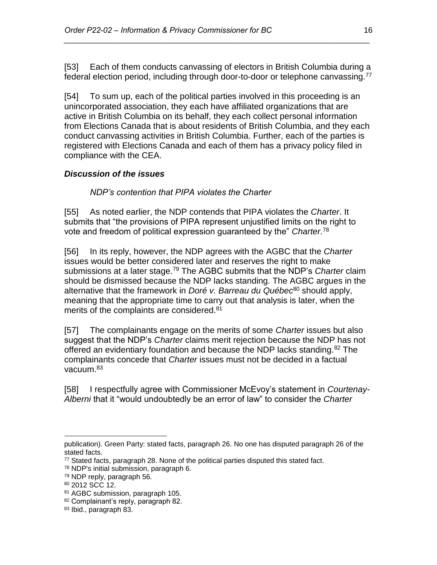[53] Each of them conducts canvassing of electors in British Columbia during a federal election period, including through door-to-door or telephone canvassing.<sup>77</sup>

*\_\_\_\_\_\_\_\_\_\_\_\_\_\_\_\_\_\_\_\_\_\_\_\_\_\_\_\_\_\_\_\_\_\_\_\_\_\_\_\_\_\_\_\_\_\_\_\_\_\_\_\_\_\_\_\_\_\_\_\_\_\_\_\_\_\_\_\_\_\_*

[54] To sum up, each of the political parties involved in this proceeding is an unincorporated association, they each have affiliated organizations that are active in British Columbia on its behalf, they each collect personal information from Elections Canada that is about residents of British Columbia, and they each conduct canvassing activities in British Columbia. Further, each of the parties is registered with Elections Canada and each of them has a privacy policy filed in compliance with the CEA.

# <span id="page-15-1"></span><span id="page-15-0"></span>*Discussion of the issues*

*NDP's contention that PIPA violates the Charter*

[55] As noted earlier, the NDP contends that PIPA violates the *Charter*. It submits that "the provisions of PIPA represent unjustified limits on the right to vote and freedom of political expression guaranteed by the" *Charter*. 78

[56] In its reply, however, the NDP agrees with the AGBC that the *Charter* issues would be better considered later and reserves the right to make submissions at a later stage.<sup>79</sup> The AGBC submits that the NDP's *Charter* claim should be dismissed because the NDP lacks standing. The AGBC argues in the alternative that the framework in *Doré v. Barreau du Québec*<sup>80</sup> should apply, meaning that the appropriate time to carry out that analysis is later, when the merits of the complaints are considered.<sup>81</sup>

[57] The complainants engage on the merits of some *Charter* issues but also suggest that the NDP's *Charter* claims merit rejection because the NDP has not offered an evidentiary foundation and because the NDP lacks standing.<sup>82</sup> The complainants concede that *Charter* issues must not be decided in a factual vacuum.<sup>83</sup>

[58] I respectfully agree with Commissioner McEvoy's statement in *Courtenay-Alberni* that it "would undoubtedly be an error of law" to consider the *Charter*

 $\overline{a}$ publication). Green Party: stated facts, paragraph 26. No one has disputed paragraph 26 of the stated facts.

<sup>77</sup> Stated facts, paragraph 28. None of the political parties disputed this stated fact.

<sup>78</sup> NDP's initial submission, paragraph 6.

<sup>79</sup> NDP reply, paragraph 56.

<sup>80</sup> 2012 SCC 12.

<sup>81</sup> AGBC submission, paragraph 105.

<sup>82</sup> Complainant's reply, paragraph 82.

<sup>83</sup> Ibid., paragraph 83.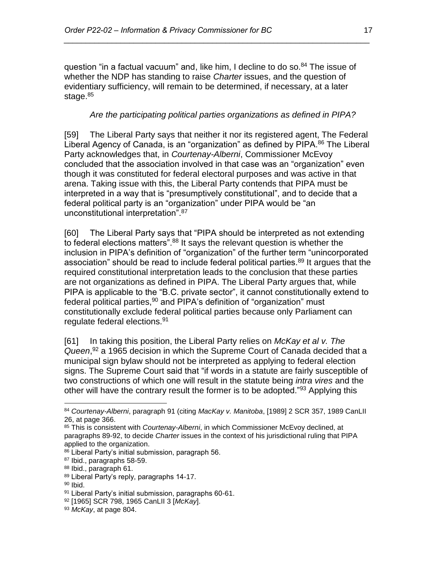question "in a factual vacuum" and, like him, I decline to do so.<sup>84</sup> The issue of whether the NDP has standing to raise *Charter* issues, and the question of evidentiary sufficiency, will remain to be determined, if necessary, at a later stage.<sup>85</sup>

*\_\_\_\_\_\_\_\_\_\_\_\_\_\_\_\_\_\_\_\_\_\_\_\_\_\_\_\_\_\_\_\_\_\_\_\_\_\_\_\_\_\_\_\_\_\_\_\_\_\_\_\_\_\_\_\_\_\_\_\_\_\_\_\_\_\_\_\_\_\_*

## <span id="page-16-0"></span>*Are the participating political parties organizations as defined in PIPA?*

[59] The Liberal Party says that neither it nor its registered agent, The Federal Liberal Agency of Canada, is an "organization" as defined by PIPA.<sup>86</sup> The Liberal Party acknowledges that, in *Courtenay-Alberni*, Commissioner McEvoy concluded that the association involved in that case was an "organization" even though it was constituted for federal electoral purposes and was active in that arena. Taking issue with this, the Liberal Party contends that PIPA must be interpreted in a way that is "presumptively constitutional", and to decide that a federal political party is an "organization" under PIPA would be "an unconstitutional interpretation".<sup>87</sup>

[60] The Liberal Party says that "PIPA should be interpreted as not extending to federal elections matters".<sup>88</sup> It says the relevant question is whether the inclusion in PIPA's definition of "organization" of the further term "unincorporated association" should be read to include federal political parties.<sup>89</sup> It argues that the required constitutional interpretation leads to the conclusion that these parties are not organizations as defined in PIPA. The Liberal Party argues that, while PIPA is applicable to the "B.C. private sector", it cannot constitutionally extend to federal political parties,<sup>90</sup> and PIPA's definition of "organization" must constitutionally exclude federal political parties because only Parliament can regulate federal elections.<sup>91</sup>

[61] In taking this position, the Liberal Party relies on *McKay et al v. The Queen*, <sup>92</sup> a 1965 decision in which the Supreme Court of Canada decided that a municipal sign bylaw should not be interpreted as applying to federal election signs. The Supreme Court said that "if words in a statute are fairly susceptible of two constructions of which one will result in the statute being *intra vires* and the other will have the contrary result the former is to be adopted."<sup>93</sup> Applying this

<sup>84</sup> *Courtenay-Alberni*, paragraph 91 (citing *MacKay v. Manitoba*, [1989] 2 SCR 357, 1989 CanLII 26, at page 366.

<sup>85</sup> This is consistent with *Courtenay-Alberni*, in which Commissioner McEvoy declined, at paragraphs 89-92, to decide *Charter* issues in the context of his jurisdictional ruling that PIPA applied to the organization.

<sup>86</sup> Liberal Party's initial submission, paragraph 56.

<sup>87</sup> Ibid., paragraphs 58-59.

<sup>88</sup> Ibid., paragraph 61.

<sup>89</sup> Liberal Party's reply, paragraphs 14-17.

<sup>90</sup> Ibid.

<sup>91</sup> Liberal Party's initial submission, paragraphs 60-61.

<sup>92</sup> [1965] SCR 798, 1965 CanLII 3 [*McKay*].

<sup>93</sup> *McKay*, at page 804.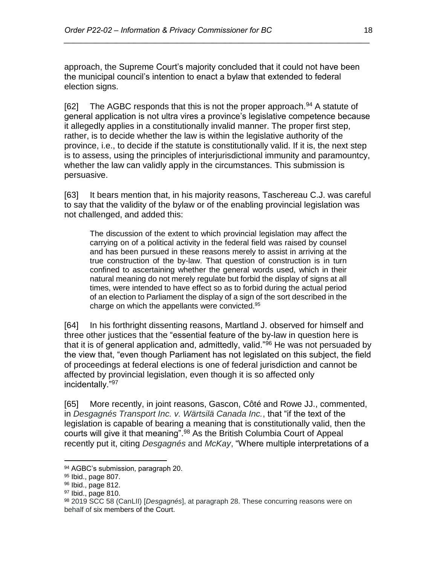approach, the Supreme Court's majority concluded that it could not have been the municipal council's intention to enact a bylaw that extended to federal election signs.

*\_\_\_\_\_\_\_\_\_\_\_\_\_\_\_\_\_\_\_\_\_\_\_\_\_\_\_\_\_\_\_\_\_\_\_\_\_\_\_\_\_\_\_\_\_\_\_\_\_\_\_\_\_\_\_\_\_\_\_\_\_\_\_\_\_\_\_\_\_\_*

[62] The AGBC responds that this is not the proper approach.<sup>94</sup> A statute of general application is not ultra vires a province's legislative competence because it allegedly applies in a constitutionally invalid manner. The proper first step, rather, is to decide whether the law is within the legislative authority of the province, i.e., to decide if the statute is constitutionally valid. If it is, the next step is to assess, using the principles of interjurisdictional immunity and paramountcy, whether the law can validly apply in the circumstances. This submission is persuasive.

[63] It bears mention that, in his majority reasons, Taschereau C.J. was careful to say that the validity of the bylaw or of the enabling provincial legislation was not challenged, and added this:

The discussion of the extent to which provincial legislation may affect the carrying on of a political activity in the federal field was raised by counsel and has been pursued in these reasons merely to assist in arriving at the true construction of the by-law. That question of construction is in turn confined to ascertaining whether the general words used, which in their natural meaning do not merely regulate but forbid the display of signs at all times, were intended to have effect so as to forbid during the actual period of an election to Parliament the display of a sign of the sort described in the charge on which the appellants were convicted.<sup>95</sup>

[64] In his forthright dissenting reasons, Martland J. observed for himself and three other justices that the "essential feature of the by-law in question here is that it is of general application and, admittedly, valid."<sup>96</sup> He was not persuaded by the view that, "even though Parliament has not legislated on this subject, the field of proceedings at federal elections is one of federal jurisdiction and cannot be affected by provincial legislation, even though it is so affected only incidentally."<sup>97</sup>

[65] More recently, in joint reasons, Gascon, Côté and Rowe JJ., commented, in *Desgagnés Transport Inc. v. Wärtsilä Canada Inc.*, that "if the text of the legislation is capable of bearing a meaning that is constitutionally valid, then the courts will give it that meaning".<sup>98</sup> As the British Columbia Court of Appeal recently put it, citing *Desgagnés* and *McKay*, "Where multiple interpretations of a

<sup>94</sup> AGBC's submission, paragraph 20.

<sup>95</sup> Ibid., page 807.

<sup>96</sup> Ibid., page 812.

 $97$  Ibid., page 810.

<sup>98</sup> 2019 SCC 58 (CanLII) [*Desgagnés*], at paragraph 28. These concurring reasons were on behalf of six members of the Court.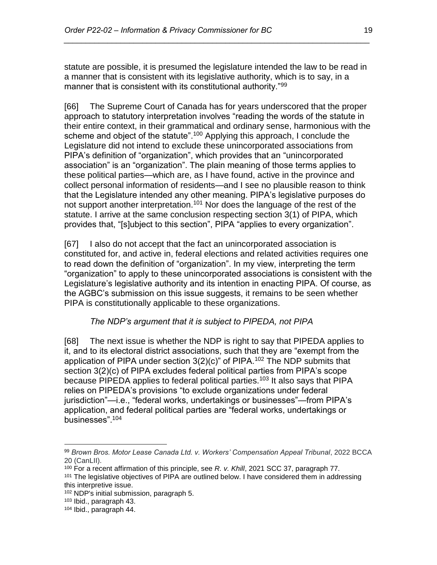statute are possible, it is presumed the legislature intended the law to be read in a manner that is consistent with its legislative authority, which is to say, in a manner that is consistent with its constitutional authority."<sup>99</sup>

*\_\_\_\_\_\_\_\_\_\_\_\_\_\_\_\_\_\_\_\_\_\_\_\_\_\_\_\_\_\_\_\_\_\_\_\_\_\_\_\_\_\_\_\_\_\_\_\_\_\_\_\_\_\_\_\_\_\_\_\_\_\_\_\_\_\_\_\_\_\_*

[66] The Supreme Court of Canada has for years underscored that the proper approach to statutory interpretation involves "reading the words of the statute in their entire context, in their grammatical and ordinary sense, harmonious with the scheme and object of the statute".<sup>100</sup> Applying this approach, I conclude the Legislature did not intend to exclude these unincorporated associations from PIPA's definition of "organization", which provides that an "unincorporated association" is an "organization". The plain meaning of those terms applies to these political parties—which are, as I have found, active in the province and collect personal information of residents—and I see no plausible reason to think that the Legislature intended any other meaning. PIPA's legislative purposes do not support another interpretation.<sup>101</sup> Nor does the language of the rest of the statute. I arrive at the same conclusion respecting section 3(1) of PIPA, which provides that, "[s]ubject to this section", PIPA "applies to every organization".

[67] I also do not accept that the fact an unincorporated association is constituted for, and active in, federal elections and related activities requires one to read down the definition of "organization". In my view, interpreting the term "organization" to apply to these unincorporated associations is consistent with the Legislature's legislative authority and its intention in enacting PIPA. Of course, as the AGBC's submission on this issue suggests, it remains to be seen whether PIPA is constitutionally applicable to these organizations.

# *The NDP's argument that it is subject to PIPEDA, not PIPA*

<span id="page-18-0"></span>[68] The next issue is whether the NDP is right to say that PIPEDA applies to it, and to its electoral district associations, such that they are "exempt from the application of PIPA under section  $3(2)(c)$ " of PIPA.<sup>102</sup> The NDP submits that section 3(2)(c) of PIPA excludes federal political parties from PIPA's scope because PIPEDA applies to federal political parties.<sup>103</sup> It also says that PIPA relies on PIPEDA's provisions "to exclude organizations under federal jurisdiction"—i.e., "federal works, undertakings or businesses"—from PIPA's application, and federal political parties are "federal works, undertakings or businesses".<sup>104</sup>

<sup>99</sup> Brown Bros. Motor Lease Canada Ltd. v. Workers' Compensation Appeal Tribunal, 2022 BCCA 20 (CanLII).

<sup>100</sup> For a recent affirmation of this principle, see *R. v. Khill*, 2021 SCC 37, paragraph 77. <sup>101</sup> The legislative objectives of PIPA are outlined below. I have considered them in addressing this interpretive issue.

<sup>102</sup> NDP's initial submission, paragraph 5.

<sup>103</sup> Ibid., paragraph 43.

<sup>104</sup> Ibid., paragraph 44.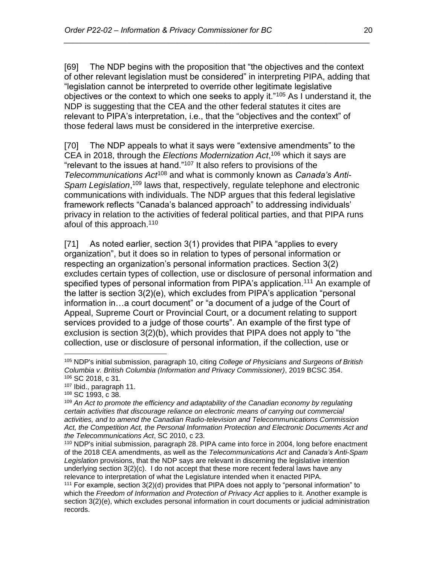[69] The NDP begins with the proposition that "the objectives and the context of other relevant legislation must be considered" in interpreting PIPA, adding that "legislation cannot be interpreted to override other legitimate legislative objectives or the context to which one seeks to apply it."<sup>105</sup> As I understand it, the NDP is suggesting that the CEA and the other federal statutes it cites are relevant to PIPA's interpretation, i.e., that the "objectives and the context" of those federal laws must be considered in the interpretive exercise.

*\_\_\_\_\_\_\_\_\_\_\_\_\_\_\_\_\_\_\_\_\_\_\_\_\_\_\_\_\_\_\_\_\_\_\_\_\_\_\_\_\_\_\_\_\_\_\_\_\_\_\_\_\_\_\_\_\_\_\_\_\_\_\_\_\_\_\_\_\_\_*

[70] The NDP appeals to what it says were "extensive amendments" to the CEA in 2018, through the *Elections Modernization Act*, <sup>106</sup> which it says are "relevant to the issues at hand."<sup>107</sup> It also refers to provisions of the *Telecommunications Act*<sup>108</sup> and what is commonly known as *Canada's Anti-*Spam Legislation,<sup>109</sup> laws that, respectively, regulate telephone and electronic communications with individuals. The NDP argues that this federal legislative framework reflects "Canada's balanced approach" to addressing individuals' privacy in relation to the activities of federal political parties, and that PIPA runs afoul of this approach.<sup>110</sup>

[71] As noted earlier, section 3(1) provides that PIPA "applies to every organization", but it does so in relation to types of personal information or respecting an organization's personal information practices. Section 3(2) excludes certain types of collection, use or disclosure of personal information and specified types of personal information from PIPA's application.<sup>111</sup> An example of the latter is section 3(2)(e), which excludes from PIPA's application "personal information in…a court document" or "a document of a judge of the Court of Appeal, Supreme Court or Provincial Court, or a document relating to support services provided to a judge of those courts". An example of the first type of exclusion is section 3(2)(b), which provides that PIPA does not apply to "the collection, use or disclosure of personal information, if the collection, use or

<sup>105</sup> NDP's initial submission, paragraph 10, citing *College of Physicians and Surgeons of British Columbia v. British Columbia (Information and Privacy Commissioner)*, 2019 BCSC 354. <sup>106</sup> SC 2018, c 31.

<sup>107</sup> Ibid., paragraph 11.

<sup>108</sup> SC 1993, c 38.

<sup>109</sup> *An Act to promote the efficiency and adaptability of the Canadian economy by regulating certain activities that discourage reliance on electronic means of carrying out commercial activities, and to amend the Canadian Radio-television and Telecommunications Commission Act, the Competition Act, the Personal Information Protection and Electronic Documents Act and the Telecommunications Act*, SC 2010, c 23.

<sup>110</sup> NDP's initial submission, paragraph 28. PIPA came into force in 2004, long before enactment of the 2018 CEA amendments, as well as the *Telecommunications Act* and *Canada's Anti-Spam Legislation* provisions, that the NDP says are relevant in discerning the legislative intention underlying section 3(2)(c). I do not accept that these more recent federal laws have any relevance to interpretation of what the Legislature intended when it enacted PIPA.

<sup>111</sup> For example, section 3(2)(d) provides that PIPA does not apply to "personal information" to which the *Freedom of Information and Protection of Privacy Act* applies to it. Another example is section 3(2)(e), which excludes personal information in court documents or judicial administration records.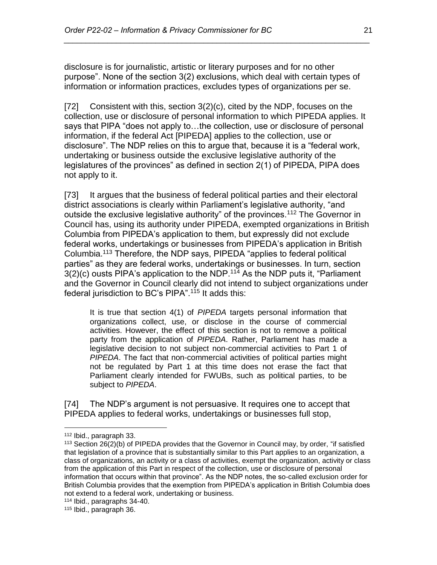disclosure is for journalistic, artistic or literary purposes and for no other purpose". None of the section 3(2) exclusions, which deal with certain types of information or information practices, excludes types of organizations per se.

*\_\_\_\_\_\_\_\_\_\_\_\_\_\_\_\_\_\_\_\_\_\_\_\_\_\_\_\_\_\_\_\_\_\_\_\_\_\_\_\_\_\_\_\_\_\_\_\_\_\_\_\_\_\_\_\_\_\_\_\_\_\_\_\_\_\_\_\_\_\_*

[72] Consistent with this, section 3(2)(c), cited by the NDP, focuses on the collection, use or disclosure of personal information to which PIPEDA applies. It says that PIPA "does not apply to…the collection, use or disclosure of personal information, if the federal Act [PIPEDA] applies to the collection, use or disclosure". The NDP relies on this to argue that, because it is a "federal work, undertaking or business outside the exclusive legislative authority of the legislatures of the provinces" as defined in section 2(1) of PIPEDA, PIPA does not apply to it.

[73] It argues that the business of federal political parties and their electoral district associations is clearly within Parliament's legislative authority, "and outside the exclusive legislative authority" of the provinces.<sup>112</sup> The Governor in Council has, using its authority under PIPEDA, exempted organizations in British Columbia from PIPEDA's application to them, but expressly did not exclude federal works, undertakings or businesses from PIPEDA's application in British Columbia.<sup>113</sup> Therefore, the NDP says, PIPEDA "applies to federal political parties" as they are federal works, undertakings or businesses. In turn, section  $3(2)(c)$  ousts PIPA's application to the NDP.<sup>114</sup> As the NDP puts it, "Parliament and the Governor in Council clearly did not intend to subject organizations under federal jurisdiction to BC's PIPA".<sup>115</sup> It adds this:

It is true that section 4(1) of *PIPEDA* targets personal information that organizations collect, use, or disclose in the course of commercial activities. However, the effect of this section is not to remove a political party from the application of *PIPEDA*. Rather, Parliament has made a legislative decision to not subject non-commercial activities to Part 1 of *PIPEDA*. The fact that non-commercial activities of political parties might not be regulated by Part 1 at this time does not erase the fact that Parliament clearly intended for FWUBs, such as political parties, to be subject to *PIPEDA*.

[74] The NDP's argument is not persuasive. It requires one to accept that PIPEDA applies to federal works, undertakings or businesses full stop,

 $\overline{a}$ <sup>112</sup> Ibid., paragraph 33.

<sup>113</sup> Section 26(2)(b) of PIPEDA provides that the Governor in Council may, by order, "if satisfied that legislation of a province that is substantially similar to this Part applies to an organization, a class of organizations, an activity or a class of activities, exempt the organization, activity or class from the application of this Part in respect of the collection, use or disclosure of personal information that occurs within that province". As the NDP notes, the so-called exclusion order for British Columbia provides that the exemption from PIPEDA's application in British Columbia does not extend to a federal work, undertaking or business.

<sup>114</sup> Ibid., paragraphs 34-40.

<sup>115</sup> Ibid., paragraph 36.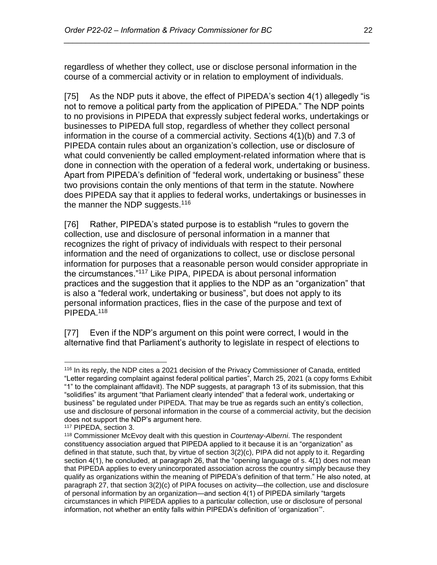regardless of whether they collect, use or disclose personal information in the course of a commercial activity or in relation to employment of individuals.

*\_\_\_\_\_\_\_\_\_\_\_\_\_\_\_\_\_\_\_\_\_\_\_\_\_\_\_\_\_\_\_\_\_\_\_\_\_\_\_\_\_\_\_\_\_\_\_\_\_\_\_\_\_\_\_\_\_\_\_\_\_\_\_\_\_\_\_\_\_\_*

[75] As the NDP puts it above, the effect of PIPEDA's section 4(1) allegedly "is not to remove a political party from the application of PIPEDA." The NDP points to no provisions in PIPEDA that expressly subject federal works, undertakings or businesses to PIPEDA full stop, regardless of whether they collect personal information in the course of a commercial activity. Sections 4(1)(b) and 7.3 of PIPEDA contain rules about an organization's collection, use or disclosure of what could conveniently be called employment-related information where that is done in connection with the operation of a federal work, undertaking or business. Apart from PIPEDA's definition of "federal work, undertaking or business" these two provisions contain the only mentions of that term in the statute. Nowhere does PIPEDA say that it applies to federal works, undertakings or businesses in the manner the NDP suggests.<sup>116</sup>

[76] Rather, PIPEDA's stated purpose is to establish **"**rules to govern the collection, use and disclosure of personal information in a manner that recognizes the right of privacy of individuals with respect to their personal information and the need of organizations to collect, use or disclose personal information for purposes that a reasonable person would consider appropriate in the circumstances."<sup>117</sup> Like PIPA, PIPEDA is about personal information practices and the suggestion that it applies to the NDP as an "organization" that is also a "federal work, undertaking or business", but does not apply to its personal information practices, flies in the case of the purpose and text of PIPEDA.<sup>118</sup>

[77] Even if the NDP's argument on this point were correct, I would in the alternative find that Parliament's authority to legislate in respect of elections to

<sup>116</sup> In its reply, the NDP cites a 2021 decision of the Privacy Commissioner of Canada, entitled "Letter regarding complaint against federal political parties", March 25, 2021 (a copy forms Exhibit "1" to the complainant affidavit). The NDP suggests, at paragraph 13 of its submission, that this "solidifies" its argument "that Parliament clearly intended" that a federal work, undertaking or business" be regulated under PIPEDA. That may be true as regards such an entity's collection, use and disclosure of personal information in the course of a commercial activity, but the decision does not support the NDP's argument here.

<sup>117</sup> PIPEDA, section 3.

<sup>118</sup> Commissioner McEvoy dealt with this question in *Courtenay-Alberni*. The respondent constituency association argued that PIPEDA applied to it because it is an "organization" as defined in that statute, such that, by virtue of section 3(2)(c), PIPA did not apply to it. Regarding section 4(1), he concluded, at paragraph 26, that the "opening language of s. 4(1) does not mean that PIPEDA applies to every unincorporated association across the country simply because they qualify as organizations within the meaning of PIPEDA's definition of that term." He also noted, at paragraph 27, that section 3(2)(c) of PIPA focuses on activity—the collection, use and disclosure of personal information by an organization—and section 4(1) of PIPEDA similarly "targets circumstances in which PIPEDA applies to a particular collection, use or disclosure of personal information, not whether an entity falls within PIPEDA's definition of 'organization'".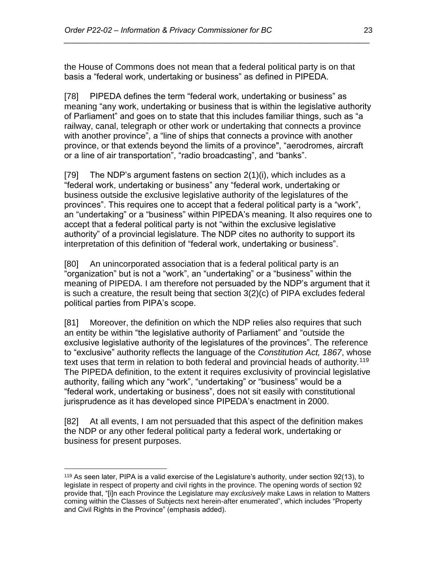the House of Commons does not mean that a federal political party is on that basis a "federal work, undertaking or business" as defined in PIPEDA.

*\_\_\_\_\_\_\_\_\_\_\_\_\_\_\_\_\_\_\_\_\_\_\_\_\_\_\_\_\_\_\_\_\_\_\_\_\_\_\_\_\_\_\_\_\_\_\_\_\_\_\_\_\_\_\_\_\_\_\_\_\_\_\_\_\_\_\_\_\_\_*

[78] PIPEDA defines the term "federal work, undertaking or business" as meaning "any work, undertaking or business that is within the legislative authority of Parliament" and goes on to state that this includes familiar things, such as "a railway, canal, telegraph or other work or undertaking that connects a province with another province", a "line of ships that connects a province with another province, or that extends beyond the limits of a province", "aerodromes, aircraft or a line of air transportation", "radio broadcasting", and "banks".

[79] The NDP's argument fastens on section 2(1)(i), which includes as a "federal work, undertaking or business" any "federal work, undertaking or business outside the exclusive legislative authority of the legislatures of the provinces". This requires one to accept that a federal political party is a "work", an "undertaking" or a "business" within PIPEDA's meaning. It also requires one to accept that a federal political party is not "within the exclusive legislative authority" of a provincial legislature. The NDP cites no authority to support its interpretation of this definition of "federal work, undertaking or business".

[80] An unincorporated association that is a federal political party is an "organization" but is not a "work", an "undertaking" or a "business" within the meaning of PIPEDA. I am therefore not persuaded by the NDP's argument that it is such a creature, the result being that section 3(2)(c) of PIPA excludes federal political parties from PIPA's scope.

[81] Moreover, the definition on which the NDP relies also requires that such an entity be within "the legislative authority of Parliament" and "outside the exclusive legislative authority of the legislatures of the provinces". The reference to "exclusive" authority reflects the language of the *Constitution Act, 1867*, whose text uses that term in relation to both federal and provincial heads of authority.<sup>119</sup> The PIPEDA definition, to the extent it requires exclusivity of provincial legislative authority, failing which any "work", "undertaking" or "business" would be a "federal work, undertaking or business", does not sit easily with constitutional jurisprudence as it has developed since PIPEDA's enactment in 2000.

[82] At all events, I am not persuaded that this aspect of the definition makes the NDP or any other federal political party a federal work, undertaking or business for present purposes.

 $\overline{a}$ <sup>119</sup> As seen later, PIPA is a valid exercise of the Legislature's authority, under section 92(13), to legislate in respect of property and civil rights in the province. The opening words of section 92 provide that, "[i]n each Province the Legislature may *exclusively* make Laws in relation to Matters coming within the Classes of Subjects next herein-after enumerated", which includes "Property and Civil Rights in the Province" (emphasis added).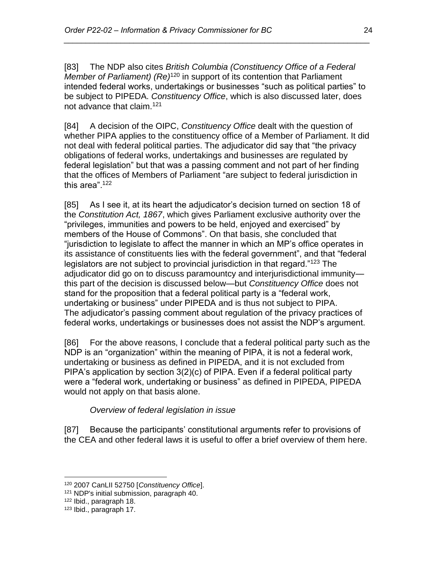[83] The NDP also cites *British Columbia (Constituency Office of a Federal Member of Parliament) (Re)*<sup>120</sup> in support of its contention that Parliament intended federal works, undertakings or businesses "such as political parties" to be subject to PIPEDA. *Constituency Office*, which is also discussed later, does not advance that claim.<sup>121</sup>

*\_\_\_\_\_\_\_\_\_\_\_\_\_\_\_\_\_\_\_\_\_\_\_\_\_\_\_\_\_\_\_\_\_\_\_\_\_\_\_\_\_\_\_\_\_\_\_\_\_\_\_\_\_\_\_\_\_\_\_\_\_\_\_\_\_\_\_\_\_\_*

[84] A decision of the OIPC, *Constituency Office* dealt with the question of whether PIPA applies to the constituency office of a Member of Parliament. It did not deal with federal political parties. The adjudicator did say that "the privacy obligations of federal works, undertakings and businesses are regulated by federal legislation" but that was a passing comment and not part of her finding that the offices of Members of Parliament "are subject to federal jurisdiction in this area".<sup>122</sup>

[85] As I see it, at its heart the adjudicator's decision turned on section 18 of the *Constitution Act, 1867*, which gives Parliament exclusive authority over the "privileges, immunities and powers to be held, enjoyed and exercised" by members of the House of Commons". On that basis, she concluded that "jurisdiction to legislate to affect the manner in which an MP's office operates in its assistance of constituents lies with the federal government", and that "federal legislators are not subject to provincial jurisdiction in that regard."<sup>123</sup> The adjudicator did go on to discuss paramountcy and interjurisdictional immunity this part of the decision is discussed below—but *Constituency Office* does not stand for the proposition that a federal political party is a "federal work, undertaking or business" under PIPEDA and is thus not subject to PIPA. The adjudicator's passing comment about regulation of the privacy practices of federal works, undertakings or businesses does not assist the NDP's argument.

[86] For the above reasons, I conclude that a federal political party such as the NDP is an "organization" within the meaning of PIPA, it is not a federal work, undertaking or business as defined in PIPEDA, and it is not excluded from PIPA's application by section 3(2)(c) of PIPA. Even if a federal political party were a "federal work, undertaking or business" as defined in PIPEDA, PIPEDA would not apply on that basis alone.

*Overview of federal legislation in issue*

<span id="page-23-0"></span>[87] Because the participants' constitutional arguments refer to provisions of the CEA and other federal laws it is useful to offer a brief overview of them here.

 $\overline{a}$ <sup>120</sup> 2007 CanLII 52750 [*Constituency Office*].

<sup>121</sup> NDP's initial submission, paragraph 40.

<sup>122</sup> Ibid., paragraph 18.

<sup>123</sup> Ibid., paragraph 17.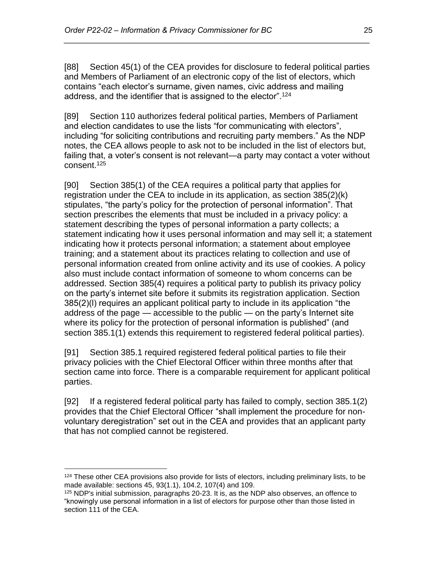[88] Section 45(1) of the CEA provides for disclosure to federal political parties and Members of Parliament of an electronic copy of the list of electors, which contains "each elector's surname, given names, civic address and mailing address, and the identifier that is assigned to the elector".<sup>124</sup>

*\_\_\_\_\_\_\_\_\_\_\_\_\_\_\_\_\_\_\_\_\_\_\_\_\_\_\_\_\_\_\_\_\_\_\_\_\_\_\_\_\_\_\_\_\_\_\_\_\_\_\_\_\_\_\_\_\_\_\_\_\_\_\_\_\_\_\_\_\_\_*

[89] Section 110 authorizes federal political parties, Members of Parliament and election candidates to use the lists "for communicating with electors", including "for soliciting contributions and recruiting party members." As the NDP notes, the CEA allows people to ask not to be included in the list of electors but, failing that, a voter's consent is not relevant—a party may contact a voter without consent.<sup>125</sup>

[90] Section 385(1) of the CEA requires a political party that applies for registration under the CEA to include in its application, as section 385(2)(k) stipulates, "the party's policy for the protection of personal information". That section prescribes the elements that must be included in a privacy policy: a statement describing the types of personal information a party collects; a statement indicating how it uses personal information and may sell it; a statement indicating how it protects personal information; a statement about employee training; and a statement about its practices relating to collection and use of personal information created from online activity and its use of cookies. A policy also must include contact information of someone to whom concerns can be addressed. Section 385(4) requires a political party to publish its privacy policy on the party's internet site before it submits its registration application. Section 385(2)(l) requires an applicant political party to include in its application "the address of the page — accessible to the public — on the party's Internet site where its policy for the protection of personal information is published" (and section 385.1(1) extends this requirement to registered federal political parties).

[91] Section 385.1 required registered federal political parties to file their privacy policies with the Chief Electoral Officer within three months after that section came into force. There is a comparable requirement for applicant political parties.

[92] If a registered federal political party has failed to comply, section 385.1(2) provides that the Chief Electoral Officer "shall implement the procedure for nonvoluntary deregistration" set out in the CEA and provides that an applicant party that has not complied cannot be registered.

<sup>&</sup>lt;sup>124</sup> These other CEA provisions also provide for lists of electors, including preliminary lists, to be made available: sections 45, 93(1.1), 104.2, 107(4) and 109.

<sup>125</sup> NDP's initial submission, paragraphs 20-23. It is, as the NDP also observes, an offence to "knowingly use personal information in a list of electors for purpose other than those listed in section 111 of the CEA.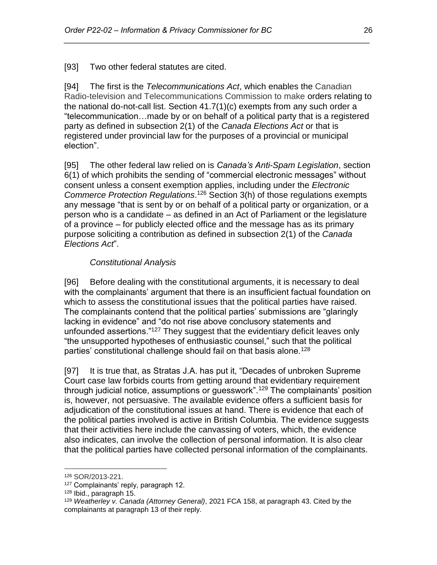[93] Two other federal statutes are cited.

[94] The first is the *Telecommunications Act*, which enables the Canadian Radio-television and Telecommunications Commission to make orders relating to the national do-not-call list. Section 41.7(1)(c) exempts from any such order a "telecommunication…made by or on behalf of a political party that is a registered party as defined in subsection 2(1) of the *Canada Elections Act* or that is registered under provincial law for the purposes of a provincial or municipal election".

*\_\_\_\_\_\_\_\_\_\_\_\_\_\_\_\_\_\_\_\_\_\_\_\_\_\_\_\_\_\_\_\_\_\_\_\_\_\_\_\_\_\_\_\_\_\_\_\_\_\_\_\_\_\_\_\_\_\_\_\_\_\_\_\_\_\_\_\_\_\_*

[95] The other federal law relied on is *Canada's Anti-Spam Legislation*, section 6(1) of which prohibits the sending of "commercial electronic messages" without consent unless a consent exemption applies, including under the *Electronic Commerce Protection Regulations*. <sup>126</sup> Section 3(h) of those regulations exempts any message "that is sent by or on behalf of a political party or organization, or a person who is a candidate – as defined in an Act of Parliament or the legislature of a province – for publicly elected office and the message has as its primary purpose soliciting a contribution as defined in subsection 2(1) of the *Canada Elections Act*".

# *Constitutional Analysis*

<span id="page-25-0"></span>[96] Before dealing with the constitutional arguments, it is necessary to deal with the complainants' argument that there is an insufficient factual foundation on which to assess the constitutional issues that the political parties have raised. The complainants contend that the political parties' submissions are "glaringly lacking in evidence" and "do not rise above conclusory statements and unfounded assertions."<sup>127</sup> They suggest that the evidentiary deficit leaves only "the unsupported hypotheses of enthusiastic counsel," such that the political parties' constitutional challenge should fail on that basis alone.<sup>128</sup>

[97] It is true that, as Stratas J.A. has put it, "Decades of unbroken Supreme Court case law forbids courts from getting around that evidentiary requirement through judicial notice, assumptions or guesswork".<sup>129</sup> The complainants' position is, however, not persuasive. The available evidence offers a sufficient basis for adjudication of the constitutional issues at hand. There is evidence that each of the political parties involved is active in British Columbia. The evidence suggests that their activities here include the canvassing of voters, which, the evidence also indicates, can involve the collection of personal information. It is also clear that the political parties have collected personal information of the complainants.

<sup>126</sup> SOR/2013-221.

<sup>127</sup> Complainants' reply, paragraph 12.

<sup>128</sup> Ibid., paragraph 15.

<sup>129</sup> *Weatherley v. Canada (Attorney General)*, 2021 FCA 158, at paragraph 43. Cited by the complainants at paragraph 13 of their reply.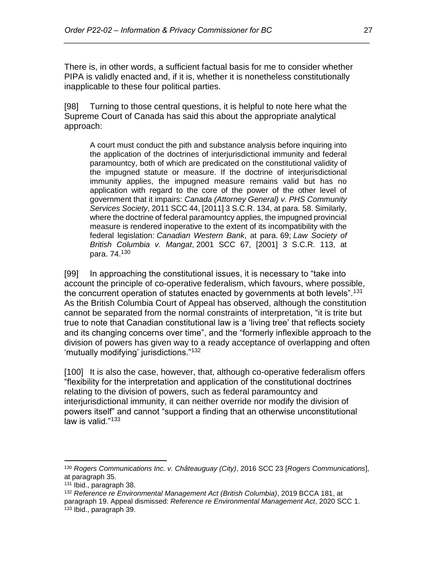There is, in other words, a sufficient factual basis for me to consider whether PIPA is validly enacted and, if it is, whether it is nonetheless constitutionally inapplicable to these four political parties.

*\_\_\_\_\_\_\_\_\_\_\_\_\_\_\_\_\_\_\_\_\_\_\_\_\_\_\_\_\_\_\_\_\_\_\_\_\_\_\_\_\_\_\_\_\_\_\_\_\_\_\_\_\_\_\_\_\_\_\_\_\_\_\_\_\_\_\_\_\_\_*

[98] Turning to those central questions, it is helpful to note here what the Supreme Court of Canada has said this about the appropriate analytical approach:

A court must conduct the pith and substance analysis before inquiring into the application of the doctrines of interjurisdictional immunity and federal paramountcy, both of which are predicated on the constitutional validity of the impugned statute or measure. If the doctrine of interjurisdictional immunity applies, the impugned measure remains valid but has no application with regard to the core of the power of the other level of government that it impairs: *Canada (Attorney General) v. PHS Community Services Society*, 2011 SCC 44, [2011] 3 S.C.R. 134, at para. 58. Similarly, where the doctrine of federal paramountcy applies, the impugned provincial measure is rendered inoperative to the extent of its incompatibility with the federal legislation: *Canadian Western Bank*, at para. 69; *Law Society of British Columbia v. Mangat*, 2001 SCC 67, [2001] 3 S.C.R. 113, at para. 74.<sup>130</sup>

[99] In approaching the constitutional issues, it is necessary to "take into account the principle of co-operative federalism, which favours, where possible, the concurrent operation of statutes enacted by governments at both levels".<sup>131</sup> As the British Columbia Court of Appeal has observed, although the constitution cannot be separated from the normal constraints of interpretation, "it is trite but true to note that Canadian constitutional law is a 'living tree' that reflects society and its changing concerns over time", and the "formerly inflexible approach to the division of powers has given way to a ready acceptance of overlapping and often 'mutually modifying' jurisdictions."<sup>132</sup>

[100] It is also the case, however, that, although co-operative federalism offers "flexibility for the interpretation and application of the constitutional doctrines relating to the division of powers, such as federal paramountcy and interjurisdictional immunity, it can neither override nor modify the division of powers itself" and cannot "support a finding that an otherwise unconstitutional law is valid."<sup>133</sup>

<sup>130</sup> *Rogers Communications Inc. v. Châteauguay (City)*, 2016 SCC 23 [*Rogers Communications*], at paragraph 35.

<sup>131</sup> Ibid., paragraph 38.

<sup>132</sup> *Reference re Environmental Management Act (British Columbia)*, 2019 BCCA 181, at paragraph 19. Appeal dismissed: *Reference re Environmental Management Act*, 2020 SCC 1. <sup>133</sup> Ibid., paragraph 39.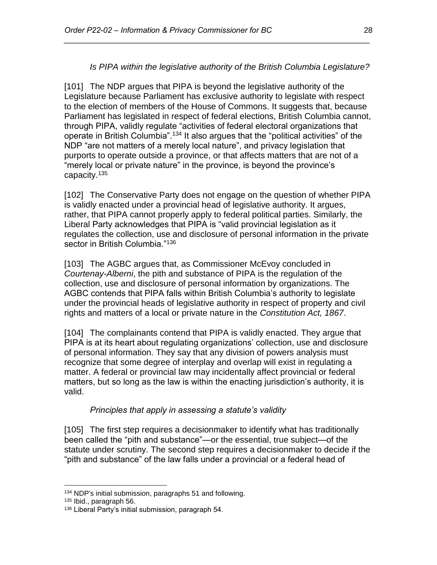## *Is PIPA within the legislative authority of the British Columbia Legislature?*

*\_\_\_\_\_\_\_\_\_\_\_\_\_\_\_\_\_\_\_\_\_\_\_\_\_\_\_\_\_\_\_\_\_\_\_\_\_\_\_\_\_\_\_\_\_\_\_\_\_\_\_\_\_\_\_\_\_\_\_\_\_\_\_\_\_\_\_\_\_\_*

<span id="page-27-0"></span>[101] The NDP argues that PIPA is beyond the legislative authority of the Legislature because Parliament has exclusive authority to legislate with respect to the election of members of the House of Commons. It suggests that, because Parliament has legislated in respect of federal elections, British Columbia cannot, through PIPA, validly regulate "activities of federal electoral organizations that operate in British Columbia".<sup>134</sup> It also argues that the "political activities" of the NDP "are not matters of a merely local nature", and privacy legislation that purports to operate outside a province, or that affects matters that are not of a "merely local or private nature" in the province, is beyond the province's capacity.<sup>135</sup>

[102] The Conservative Party does not engage on the question of whether PIPA is validly enacted under a provincial head of legislative authority. It argues, rather, that PIPA cannot properly apply to federal political parties. Similarly, the Liberal Party acknowledges that PIPA is "valid provincial legislation as it regulates the collection, use and disclosure of personal information in the private sector in British Columbia."<sup>136</sup>

[103] The AGBC argues that, as Commissioner McEvoy concluded in *Courtenay-Alberni*, the pith and substance of PIPA is the regulation of the collection, use and disclosure of personal information by organizations. The AGBC contends that PIPA falls within British Columbia's authority to legislate under the provincial heads of legislative authority in respect of property and civil rights and matters of a local or private nature in the *Constitution Act, 1867*.

[104] The complainants contend that PIPA is validly enacted. They argue that PIPA is at its heart about regulating organizations' collection, use and disclosure of personal information. They say that any division of powers analysis must recognize that some degree of interplay and overlap will exist in regulating a matter. A federal or provincial law may incidentally affect provincial or federal matters, but so long as the law is within the enacting jurisdiction's authority, it is valid.

### *Principles that apply in assessing a statute's validity*

<span id="page-27-1"></span>[105] The first step requires a decisionmaker to identify what has traditionally been called the "pith and substance"—or the essential, true subject—of the statute under scrutiny. The second step requires a decisionmaker to decide if the "pith and substance" of the law falls under a provincial or a federal head of

<sup>134</sup> NDP's initial submission, paragraphs 51 and following.

<sup>135</sup> Ibid., paragraph 56.

<sup>136</sup> Liberal Party's initial submission, paragraph 54.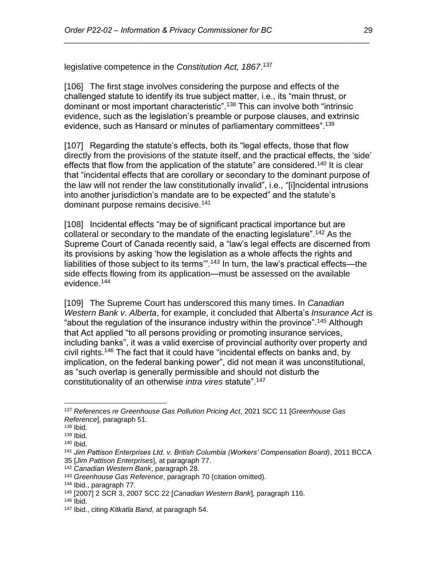legislative competence in the *Constitution Act, 1867*. 137

[106] The first stage involves considering the purpose and effects of the challenged statute to identify its true subject matter, i.e., its "main thrust, or dominant or most important characteristic".<sup>138</sup> This can involve both "intrinsic evidence, such as the legislation's preamble or purpose clauses, and extrinsic evidence, such as Hansard or minutes of parliamentary committees".<sup>139</sup>

*\_\_\_\_\_\_\_\_\_\_\_\_\_\_\_\_\_\_\_\_\_\_\_\_\_\_\_\_\_\_\_\_\_\_\_\_\_\_\_\_\_\_\_\_\_\_\_\_\_\_\_\_\_\_\_\_\_\_\_\_\_\_\_\_\_\_\_\_\_\_*

[107] Regarding the statute's effects, both its "legal effects, those that flow directly from the provisions of the statute itself, and the practical effects, the 'side' effects that flow from the application of the statute" are considered.<sup>140</sup> It is clear that "incidental effects that are corollary or secondary to the dominant purpose of the law will not render the law constitutionally invalid", i.e., "[i]ncidental intrusions into another jurisdiction's mandate are to be expected" and the statute's dominant purpose remains decisive.<sup>141</sup>

[108] Incidental effects "may be of significant practical importance but are collateral or secondary to the mandate of the enacting legislature".<sup>142</sup> As the Supreme Court of Canada recently said, a "law's legal effects are discerned from its provisions by asking 'how the legislation as a whole affects the rights and liabilities of those subject to its terms'".<sup>143</sup> In turn, the law's practical effects—the side effects flowing from its application—must be assessed on the available evidence.<sup>144</sup>

[109] The Supreme Court has underscored this many times. In *Canadian Western Bank v. Alberta*, for example, it concluded that Alberta's *Insurance Act* is "about the regulation of the insurance industry within the province".<sup>145</sup> Although that Act applied "to all persons providing or promoting insurance services, including banks", it was a valid exercise of provincial authority over property and civil rights.<sup>146</sup> The fact that it could have "incidental effects on banks and, by implication, on the federal banking power", did not mean it was unconstitutional, as "such overlap is generally permissible and should not disturb the constitutionality of an otherwise *intra vires* statute".<sup>147</sup>

<sup>137</sup> *References re Greenhouse Gas Pollution Pricing Act*, 2021 SCC 11 [*Greenhouse Gas Reference*], paragraph 51.

 $138$  Ibid.

<sup>139</sup> Ibid.

<sup>140</sup> Ibid.

<sup>141</sup> *Jim Pattison Enterprises Ltd. v. British Columbia (Workers' Compensation Board)*, 2011 BCCA 35 [*Jim Pattison Enterprises*], at paragraph 77.

<sup>142</sup> *Canadian Western Bank*, paragraph 28.

<sup>143</sup> *Greenhouse Gas Reference*, paragraph 70 (citation omitted).

<sup>144</sup> Ibid., paragraph 77.

<sup>145</sup> [2007] 2 SCR 3, 2007 SCC 22 [*Canadian Western Bank*], paragraph 116.

<sup>146</sup> Ibid.

<sup>147</sup> Ibid., citing *Kitkatla Band*, at paragraph 54.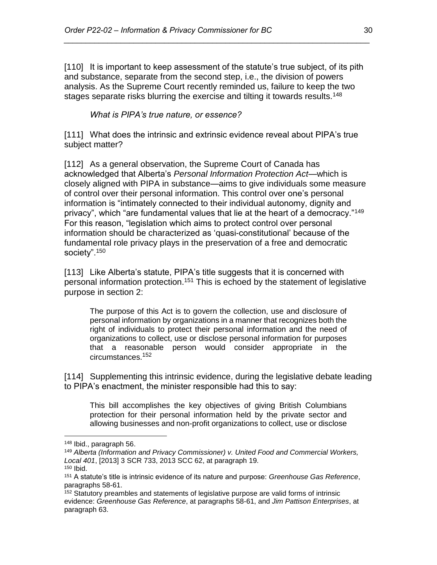[110] It is important to keep assessment of the statute's true subject, of its pith and substance, separate from the second step, i.e., the division of powers analysis. As the Supreme Court recently reminded us, failure to keep the two stages separate risks blurring the exercise and tilting it towards results.<sup>148</sup>

*\_\_\_\_\_\_\_\_\_\_\_\_\_\_\_\_\_\_\_\_\_\_\_\_\_\_\_\_\_\_\_\_\_\_\_\_\_\_\_\_\_\_\_\_\_\_\_\_\_\_\_\_\_\_\_\_\_\_\_\_\_\_\_\_\_\_\_\_\_\_*

*What is PIPA's true nature, or essence?*

<span id="page-29-0"></span>[111] What does the intrinsic and extrinsic evidence reveal about PIPA's true subject matter?

[112] As a general observation, the Supreme Court of Canada has acknowledged that Alberta's *Personal Information Protection Act*—which is closely aligned with PIPA in substance—aims to give individuals some measure of control over their personal information. This control over one's personal information is "intimately connected to their individual autonomy, dignity and privacy", which "are fundamental values that lie at the heart of a democracy."<sup>149</sup> For this reason, "legislation which aims to protect control over personal information should be characterized as 'quasi-constitutional' because of the fundamental role privacy plays in the preservation of a free and democratic society".<sup>150</sup>

[113] Like Alberta's statute, PIPA's title suggests that it is concerned with personal information protection.<sup>151</sup> This is echoed by the statement of legislative purpose in section 2:

The purpose of this Act is to govern the collection, use and disclosure of personal information by organizations in a manner that recognizes both the right of individuals to protect their personal information and the need of organizations to collect, use or disclose personal information for purposes that a reasonable person would consider appropriate in the circumstances.<sup>152</sup>

[114] Supplementing this intrinsic evidence, during the legislative debate leading to PIPA's enactment, the minister responsible had this to say:

This bill accomplishes the key objectives of giving British Columbians protection for their personal information held by the private sector and allowing businesses and non-profit organizations to collect, use or disclose

<sup>148</sup> Ibid., paragraph 56.

<sup>149</sup> *Alberta (Information and Privacy Commissioner) v. United Food and Commercial Workers, Local 401*, [2013] 3 SCR 733, 2013 SCC 62, at paragraph 19.

 $150$  Ibid.

<sup>151</sup> A statute's title is intrinsic evidence of its nature and purpose: *Greenhouse Gas Reference*, paragraphs 58-61.

<sup>&</sup>lt;sup>152</sup> Statutory preambles and statements of legislative purpose are valid forms of intrinsic evidence: *Greenhouse Gas Reference*, at paragraphs 58-61, and *Jim Pattison Enterprises*, at paragraph 63.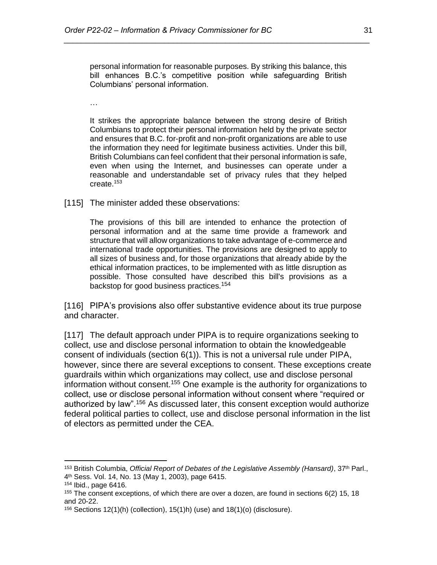personal information for reasonable purposes. By striking this balance, this bill enhances B.C.'s competitive position while safeguarding British Columbians' personal information.

*\_\_\_\_\_\_\_\_\_\_\_\_\_\_\_\_\_\_\_\_\_\_\_\_\_\_\_\_\_\_\_\_\_\_\_\_\_\_\_\_\_\_\_\_\_\_\_\_\_\_\_\_\_\_\_\_\_\_\_\_\_\_\_\_\_\_\_\_\_\_*

…

It strikes the appropriate balance between the strong desire of British Columbians to protect their personal information held by the private sector and ensures that B.C. for-profit and non-profit organizations are able to use the information they need for legitimate business activities. Under this bill, British Columbians can feel confident that their personal information is safe, even when using the Internet, and businesses can operate under a reasonable and understandable set of privacy rules that they helped create.<sup>153</sup>

[115] The minister added these observations:

The provisions of this bill are intended to enhance the protection of personal information and at the same time provide a framework and structure that will allow organizations to take advantage of e-commerce and international trade opportunities. The provisions are designed to apply to all sizes of business and, for those organizations that already abide by the ethical information practices, to be implemented with as little disruption as possible. Those consulted have described this bill's provisions as a backstop for good business practices.<sup>154</sup>

[116] PIPA's provisions also offer substantive evidence about its true purpose and character.

[117] The default approach under PIPA is to require organizations seeking to collect, use and disclose personal information to obtain the knowledgeable consent of individuals (section 6(1)). This is not a universal rule under PIPA, however, since there are several exceptions to consent. These exceptions create guardrails within which organizations may collect, use and disclose personal information without consent.<sup>155</sup> One example is the authority for organizations to collect, use or disclose personal information without consent where "required or authorized by law".<sup>156</sup> As discussed later, this consent exception would authorize federal political parties to collect, use and disclose personal information in the list of electors as permitted under the CEA.

<sup>153</sup> British Columbia, *Official Report of Debates of the Legislative Assembly (Hansard)*, 37th Parl., 4 th Sess. Vol. 14, No. 13 (May 1, 2003), page 6415.

<sup>154</sup> Ibid., page 6416.

<sup>&</sup>lt;sup>155</sup> The consent exceptions, of which there are over a dozen, are found in sections  $6(2)$  15, 18 and 20-22.

<sup>&</sup>lt;sup>156</sup> Sections 12(1)(h) (collection), 15(1)h) (use) and 18(1)(o) (disclosure).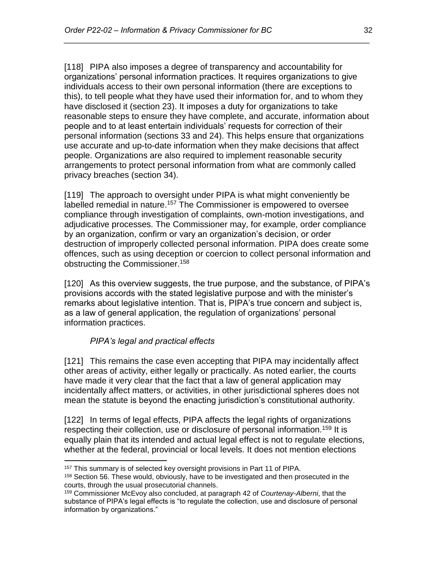[118] PIPA also imposes a degree of transparency and accountability for organizations' personal information practices. It requires organizations to give individuals access to their own personal information (there are exceptions to this), to tell people what they have used their information for, and to whom they have disclosed it (section 23). It imposes a duty for organizations to take reasonable steps to ensure they have complete, and accurate, information about people and to at least entertain individuals' requests for correction of their personal information (sections 33 and 24). This helps ensure that organizations use accurate and up-to-date information when they make decisions that affect people. Organizations are also required to implement reasonable security arrangements to protect personal information from what are commonly called privacy breaches (section 34).

*\_\_\_\_\_\_\_\_\_\_\_\_\_\_\_\_\_\_\_\_\_\_\_\_\_\_\_\_\_\_\_\_\_\_\_\_\_\_\_\_\_\_\_\_\_\_\_\_\_\_\_\_\_\_\_\_\_\_\_\_\_\_\_\_\_\_\_\_\_\_*

[119] The approach to oversight under PIPA is what might conveniently be labelled remedial in nature.<sup>157</sup> The Commissioner is empowered to oversee compliance through investigation of complaints, own-motion investigations, and adjudicative processes. The Commissioner may, for example, order compliance by an organization, confirm or vary an organization's decision, or order destruction of improperly collected personal information. PIPA does create some offences, such as using deception or coercion to collect personal information and obstructing the Commissioner.<sup>158</sup>

[120] As this overview suggests, the true purpose, and the substance, of PIPA's provisions accords with the stated legislative purpose and with the minister's remarks about legislative intention. That is, PIPA's true concern and subject is, as a law of general application, the regulation of organizations' personal information practices.

# *PIPA's legal and practical effects*

 $\overline{a}$ 

<span id="page-31-0"></span>[121] This remains the case even accepting that PIPA may incidentally affect other areas of activity, either legally or practically. As noted earlier, the courts have made it very clear that the fact that a law of general application may incidentally affect matters, or activities, in other jurisdictional spheres does not mean the statute is beyond the enacting jurisdiction's constitutional authority.

[122] In terms of legal effects, PIPA affects the legal rights of organizations respecting their collection, use or disclosure of personal information.<sup>159</sup> It is equally plain that its intended and actual legal effect is not to regulate elections, whether at the federal, provincial or local levels. It does not mention elections

<sup>157</sup> This summary is of selected key oversight provisions in Part 11 of PIPA. <sup>158</sup> Section 56. These would, obviously, have to be investigated and then prosecuted in the courts, through the usual prosecutorial channels.

<sup>159</sup> Commissioner McEvoy also concluded, at paragraph 42 of *Courtenay-Alberni*, that the substance of PIPA's legal effects is "to regulate the collection, use and disclosure of personal information by organizations."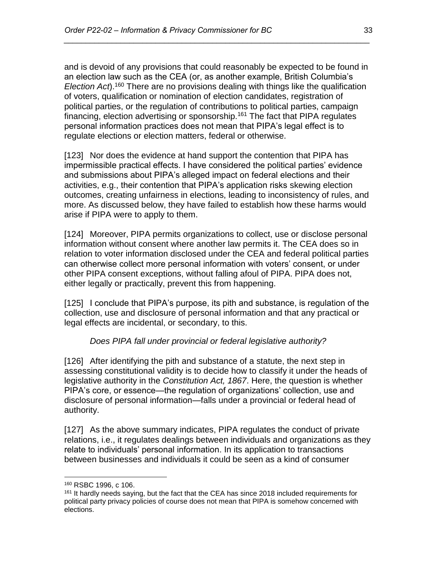and is devoid of any provisions that could reasonably be expected to be found in an election law such as the CEA (or, as another example, British Columbia's *Election Act*).<sup>160</sup> There are no provisions dealing with things like the qualification of voters, qualification or nomination of election candidates, registration of political parties, or the regulation of contributions to political parties, campaign financing, election advertising or sponsorship.<sup>161</sup> The fact that PIPA regulates personal information practices does not mean that PIPA's legal effect is to regulate elections or election matters, federal or otherwise.

*\_\_\_\_\_\_\_\_\_\_\_\_\_\_\_\_\_\_\_\_\_\_\_\_\_\_\_\_\_\_\_\_\_\_\_\_\_\_\_\_\_\_\_\_\_\_\_\_\_\_\_\_\_\_\_\_\_\_\_\_\_\_\_\_\_\_\_\_\_\_*

[123] Nor does the evidence at hand support the contention that PIPA has impermissible practical effects. I have considered the political parties' evidence and submissions about PIPA's alleged impact on federal elections and their activities, e.g., their contention that PIPA's application risks skewing election outcomes, creating unfairness in elections, leading to inconsistency of rules, and more. As discussed below, they have failed to establish how these harms would arise if PIPA were to apply to them.

[124] Moreover, PIPA permits organizations to collect, use or disclose personal information without consent where another law permits it. The CEA does so in relation to voter information disclosed under the CEA and federal political parties can otherwise collect more personal information with voters' consent, or under other PIPA consent exceptions, without falling afoul of PIPA. PIPA does not, either legally or practically, prevent this from happening.

[125] I conclude that PIPA's purpose, its pith and substance, is regulation of the collection, use and disclosure of personal information and that any practical or legal effects are incidental, or secondary, to this.

### *Does PIPA fall under provincial or federal legislative authority?*

<span id="page-32-0"></span>[126] After identifying the pith and substance of a statute, the next step in assessing constitutional validity is to decide how to classify it under the heads of legislative authority in the *Constitution Act, 1867*. Here, the question is whether PIPA's core, or essence—the regulation of organizations' collection, use and disclosure of personal information—falls under a provincial or federal head of authority.

[127] As the above summary indicates, PIPA regulates the conduct of private relations, i.e., it regulates dealings between individuals and organizations as they relate to individuals' personal information. In its application to transactions between businesses and individuals it could be seen as a kind of consumer

<sup>160</sup> RSBC 1996, c 106.

<sup>&</sup>lt;sup>161</sup> It hardly needs saying, but the fact that the CEA has since 2018 included requirements for political party privacy policies of course does not mean that PIPA is somehow concerned with elections.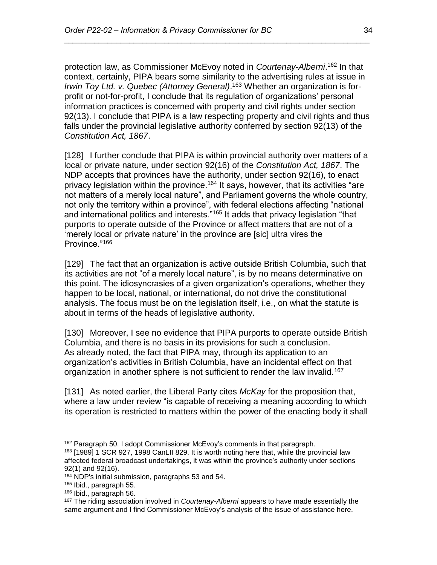protection law, as Commissioner McEvoy noted in *Courtenay-Alberni*. <sup>162</sup> In that context, certainly, PIPA bears some similarity to the advertising rules at issue in *Irwin Toy Ltd. v. Quebec (Attorney General)*. <sup>163</sup> Whether an organization is forprofit or not-for-profit, I conclude that its regulation of organizations' personal information practices is concerned with property and civil rights under section 92(13). I conclude that PIPA is a law respecting property and civil rights and thus falls under the provincial legislative authority conferred by section 92(13) of the *Constitution Act, 1867*.

*\_\_\_\_\_\_\_\_\_\_\_\_\_\_\_\_\_\_\_\_\_\_\_\_\_\_\_\_\_\_\_\_\_\_\_\_\_\_\_\_\_\_\_\_\_\_\_\_\_\_\_\_\_\_\_\_\_\_\_\_\_\_\_\_\_\_\_\_\_\_*

[128] I further conclude that PIPA is within provincial authority over matters of a local or private nature, under section 92(16) of the *Constitution Act, 1867*. The NDP accepts that provinces have the authority, under section 92(16), to enact privacy legislation within the province.<sup>164</sup> It says, however, that its activities "are not matters of a merely local nature", and Parliament governs the whole country, not only the territory within a province", with federal elections affecting "national and international politics and interests."<sup>165</sup> It adds that privacy legislation "that purports to operate outside of the Province or affect matters that are not of a 'merely local or private nature' in the province are [sic] ultra vires the Province."<sup>166</sup>

[129] The fact that an organization is active outside British Columbia, such that its activities are not "of a merely local nature", is by no means determinative on this point. The idiosyncrasies of a given organization's operations, whether they happen to be local, national, or international, do not drive the constitutional analysis. The focus must be on the legislation itself, i.e., on what the statute is about in terms of the heads of legislative authority.

[130] Moreover, I see no evidence that PIPA purports to operate outside British Columbia, and there is no basis in its provisions for such a conclusion. As already noted, the fact that PIPA may, through its application to an organization's activities in British Columbia, have an incidental effect on that organization in another sphere is not sufficient to render the law invalid.<sup>167</sup>

[131] As noted earlier, the Liberal Party cites *McKay* for the proposition that, where a law under review "is capable of receiving a meaning according to which its operation is restricted to matters within the power of the enacting body it shall

<sup>&</sup>lt;sup>162</sup> Paragraph 50. I adopt Commissioner McEvoy's comments in that paragraph.

<sup>163</sup> [1989] 1 SCR 927, 1998 CanLII 829. It is worth noting here that, while the provincial law affected federal broadcast undertakings, it was within the province's authority under sections 92(1) and 92(16).

<sup>164</sup> NDP's initial submission, paragraphs 53 and 54.

<sup>165</sup> Ibid., paragraph 55.

<sup>166</sup> Ibid., paragraph 56.

<sup>167</sup> The riding association involved in *Courtenay-Alberni* appears to have made essentially the same argument and I find Commissioner McEvoy's analysis of the issue of assistance here.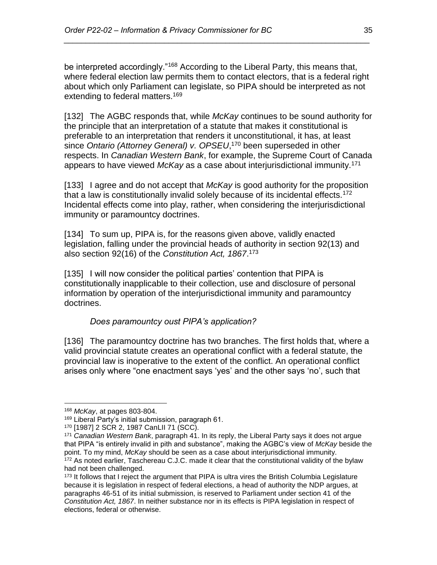be interpreted accordingly."<sup>168</sup> According to the Liberal Party, this means that, where federal election law permits them to contact electors, that is a federal right about which only Parliament can legislate, so PIPA should be interpreted as not extending to federal matters.<sup>169</sup>

*\_\_\_\_\_\_\_\_\_\_\_\_\_\_\_\_\_\_\_\_\_\_\_\_\_\_\_\_\_\_\_\_\_\_\_\_\_\_\_\_\_\_\_\_\_\_\_\_\_\_\_\_\_\_\_\_\_\_\_\_\_\_\_\_\_\_\_\_\_\_*

[132] The AGBC responds that, while *McKay* continues to be sound authority for the principle that an interpretation of a statute that makes it constitutional is preferable to an interpretation that renders it unconstitutional, it has, at least since *Ontario (Attorney General) v. OPSEU*, <sup>170</sup> been superseded in other respects. In *Canadian Western Bank*, for example, the Supreme Court of Canada appears to have viewed *McKay* as a case about interjurisdictional immunity.<sup>171</sup>

[133] I agree and do not accept that *McKay* is good authority for the proposition that a law is constitutionally invalid solely because of its incidental effects.<sup>172</sup> Incidental effects come into play, rather, when considering the interjurisdictional immunity or paramountcy doctrines.

[134] To sum up, PIPA is, for the reasons given above, validly enacted legislation, falling under the provincial heads of authority in section 92(13) and also section 92(16) of the *Constitution Act, 1867*. 173

[135] I will now consider the political parties' contention that PIPA is constitutionally inapplicable to their collection, use and disclosure of personal information by operation of the interjurisdictional immunity and paramountcy doctrines.

### *Does paramountcy oust PIPA's application?*

<span id="page-34-0"></span>[136] The paramountcy doctrine has two branches. The first holds that, where a valid provincial statute creates an operational conflict with a federal statute, the provincial law is inoperative to the extent of the conflict. An operational conflict arises only where "one enactment says 'yes' and the other says 'no', such that

<sup>168</sup> *McKay*, at pages 803-804.

<sup>169</sup> Liberal Party's initial submission, paragraph 61.

<sup>170</sup> [1987] 2 SCR 2, 1987 CanLII 71 (SCC).

<sup>171</sup> *Canadian Western Bank*, paragraph 41. In its reply, the Liberal Party says it does not argue that PIPA "is entirely invalid in pith and substance", making the AGBC's view of *McKay* beside the point. To my mind, *McKay* should be seen as a case about interjurisdictional immunity. <sup>172</sup> As noted earlier, Taschereau C.J.C. made it clear that the constitutional validity of the bylaw had not been challenged.

<sup>&</sup>lt;sup>173</sup> It follows that I reject the argument that PIPA is ultra vires the British Columbia Legislature because it is legislation in respect of federal elections, a head of authority the NDP argues, at paragraphs 46-51 of its initial submission, is reserved to Parliament under section 41 of the *Constitution Act, 1867*. In neither substance nor in its effects is PIPA legislation in respect of elections, federal or otherwise.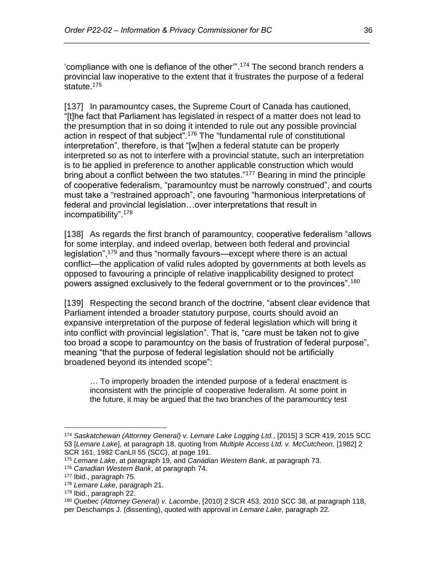'compliance with one is defiance of the other'".<sup>174</sup> The second branch renders a provincial law inoperative to the extent that it frustrates the purpose of a federal statute.<sup>175</sup>

*\_\_\_\_\_\_\_\_\_\_\_\_\_\_\_\_\_\_\_\_\_\_\_\_\_\_\_\_\_\_\_\_\_\_\_\_\_\_\_\_\_\_\_\_\_\_\_\_\_\_\_\_\_\_\_\_\_\_\_\_\_\_\_\_\_\_\_\_\_\_*

[137] In paramountcy cases, the Supreme Court of Canada has cautioned, "[t]he fact that Parliament has legislated in respect of a matter does not lead to the presumption that in so doing it intended to rule out any possible provincial action in respect of that subject".<sup>176</sup> The "fundamental rule of constitutional interpretation", therefore, is that "[w]hen a federal statute can be properly interpreted so as not to interfere with a provincial statute, such an interpretation is to be applied in preference to another applicable construction which would bring about a conflict between the two statutes."<sup>177</sup> Bearing in mind the principle of cooperative federalism, "paramountcy must be narrowly construed", and courts must take a "restrained approach", one favouring "harmonious interpretations of federal and provincial legislation…over interpretations that result in incompatibility".<sup>178</sup>

[138] As regards the first branch of paramountcy, cooperative federalism "allows for some interplay, and indeed overlap, between both federal and provincial legislation",<sup>179</sup> and thus "normally favours—except where there is an actual conflict—the application of valid rules adopted by governments at both levels as opposed to favouring a principle of relative inapplicability designed to protect powers assigned exclusively to the federal government or to the provinces".<sup>180</sup>

[139] Respecting the second branch of the doctrine, "absent clear evidence that Parliament intended a broader statutory purpose, courts should avoid an expansive interpretation of the purpose of federal legislation which will bring it into conflict with provincial legislation". That is, "care must be taken not to give too broad a scope to paramountcy on the basis of frustration of federal purpose", meaning "that the purpose of federal legislation should not be artificially broadened beyond its intended scope":

… To improperly broaden the intended purpose of a federal enactment is inconsistent with the principle of cooperative federalism. At some point in the future, it may be argued that the two branches of the paramountcy test

<sup>174</sup> *Saskatchewan (Attorney General) v. Lemare Lake Logging Ltd.*, [2015] 3 SCR 419, 2015 SCC 53 [*Lemare Lake*], at paragraph 18, quoting from *Multiple Access Ltd. v. McCutcheon*, [1982] 2 SCR 161, 1982 CanLII 55 (SCC), at page 191.

<sup>175</sup> *Lemare Lake*, at paragraph 19, and *Canadian Western Bank*, at paragraph 73.

<sup>176</sup> *Canadian Western Bank*, at paragraph 74.

<sup>177</sup> Ibid., paragraph 75.

<sup>178</sup> *Lemare Lake*, paragraph 21.

<sup>179</sup> Ibid., paragraph 22.

<sup>180</sup> *Quebec (Attorney General) v. Lacombe*, [2010] 2 SCR 453, 2010 SCC 38, at paragraph 118, per Deschamps J. (dissenting), quoted with approval in *Lemare Lake*, paragraph 22.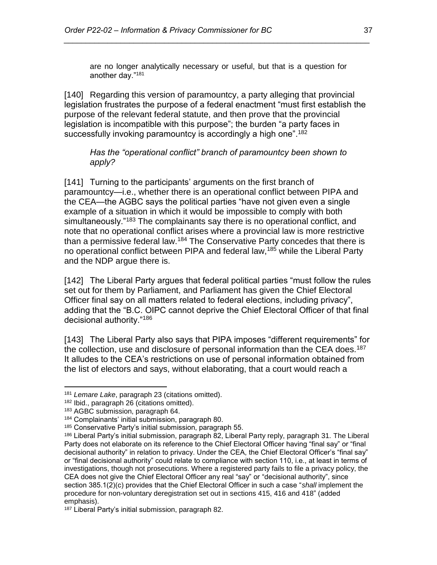are no longer analytically necessary or useful, but that is a question for another day."<sup>181</sup>

*\_\_\_\_\_\_\_\_\_\_\_\_\_\_\_\_\_\_\_\_\_\_\_\_\_\_\_\_\_\_\_\_\_\_\_\_\_\_\_\_\_\_\_\_\_\_\_\_\_\_\_\_\_\_\_\_\_\_\_\_\_\_\_\_\_\_\_\_\_\_*

[140] Regarding this version of paramountcy, a party alleging that provincial legislation frustrates the purpose of a federal enactment "must first establish the purpose of the relevant federal statute, and then prove that the provincial legislation is incompatible with this purpose"; the burden "a party faces in successfully invoking paramountcy is accordingly a high one".<sup>182</sup>

#### <span id="page-36-0"></span>*Has the "operational conflict" branch of paramountcy been shown to apply?*

[141] Turning to the participants' arguments on the first branch of paramountcy—i.e., whether there is an operational conflict between PIPA and the CEA—the AGBC says the political parties "have not given even a single example of a situation in which it would be impossible to comply with both simultaneously."<sup>183</sup> The complainants say there is no operational conflict, and note that no operational conflict arises where a provincial law is more restrictive than a permissive federal law.<sup>184</sup> The Conservative Party concedes that there is no operational conflict between PIPA and federal law,<sup>185</sup> while the Liberal Party and the NDP argue there is.

[142] The Liberal Party argues that federal political parties "must follow the rules set out for them by Parliament, and Parliament has given the Chief Electoral Officer final say on all matters related to federal elections, including privacy", adding that the "B.C. OIPC cannot deprive the Chief Electoral Officer of that final decisional authority."<sup>186</sup>

[143] The Liberal Party also says that PIPA imposes "different requirements" for the collection, use and disclosure of personal information than the CEA does.<sup>187</sup> It alludes to the CEA's restrictions on use of personal information obtained from the list of electors and says, without elaborating, that a court would reach a

 $\overline{a}$ <sup>181</sup> *Lemare Lake*, paragraph 23 (citations omitted).

<sup>182</sup> Ibid., paragraph 26 (citations omitted).

<sup>183</sup> AGBC submission, paragraph 64.

<sup>184</sup> Complainants' initial submission, paragraph 80.

<sup>185</sup> Conservative Party's initial submission, paragraph 55.

<sup>186</sup> Liberal Party's initial submission, paragraph 82, Liberal Party reply, paragraph 31. The Liberal Party does not elaborate on its reference to the Chief Electoral Officer having "final say" or "final decisional authority" in relation to privacy. Under the CEA, the Chief Electoral Officer's "final say" or "final decisional authority" could relate to compliance with section 110, i.e., at least in terms of investigations, though not prosecutions. Where a registered party fails to file a privacy policy, the CEA does not give the Chief Electoral Officer any real "say" or "decisional authority", since section 385.1(2)(c) provides that the Chief Electoral Officer in such a case "*shall* implement the procedure for non-voluntary deregistration set out in sections 415, 416 and 418" (added emphasis).

<sup>&</sup>lt;sup>187</sup> Liberal Party's initial submission, paragraph 82.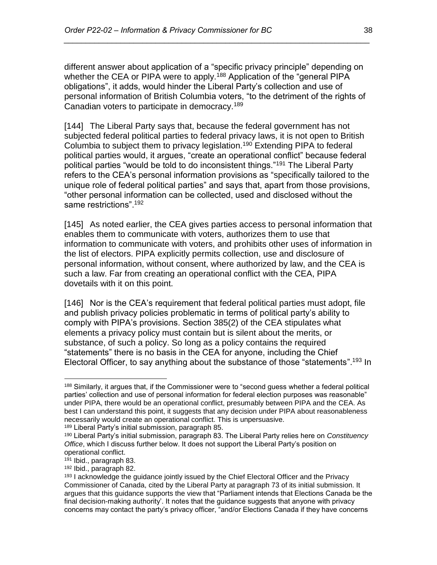different answer about application of a "specific privacy principle" depending on whether the CEA or PIPA were to apply.<sup>188</sup> Application of the "general PIPA" obligations", it adds, would hinder the Liberal Party's collection and use of personal information of British Columbia voters, "to the detriment of the rights of Canadian voters to participate in democracy.<sup>189</sup>

*\_\_\_\_\_\_\_\_\_\_\_\_\_\_\_\_\_\_\_\_\_\_\_\_\_\_\_\_\_\_\_\_\_\_\_\_\_\_\_\_\_\_\_\_\_\_\_\_\_\_\_\_\_\_\_\_\_\_\_\_\_\_\_\_\_\_\_\_\_\_*

[144] The Liberal Party says that, because the federal government has not subjected federal political parties to federal privacy laws, it is not open to British Columbia to subject them to privacy legislation.<sup>190</sup> Extending PIPA to federal political parties would, it argues, "create an operational conflict" because federal political parties "would be told to do inconsistent things."<sup>191</sup> The Liberal Party refers to the CEA's personal information provisions as "specifically tailored to the unique role of federal political parties" and says that, apart from those provisions, "other personal information can be collected, used and disclosed without the same restrictions".<sup>192</sup>

[145] As noted earlier, the CEA gives parties access to personal information that enables them to communicate with voters, authorizes them to use that information to communicate with voters, and prohibits other uses of information in the list of electors. PIPA explicitly permits collection, use and disclosure of personal information, without consent, where authorized by law, and the CEA is such a law. Far from creating an operational conflict with the CEA, PIPA dovetails with it on this point.

[146] Nor is the CEA's requirement that federal political parties must adopt, file and publish privacy policies problematic in terms of political party's ability to comply with PIPA's provisions. Section 385(2) of the CEA stipulates what elements a privacy policy must contain but is silent about the merits, or substance, of such a policy. So long as a policy contains the required "statements" there is no basis in the CEA for anyone, including the Chief Electoral Officer, to say anything about the substance of those "statements".<sup>193</sup> In

<sup>189</sup> Liberal Party's initial submission, paragraph 85.

 $\overline{a}$ <sup>188</sup> Similarly, it argues that, if the Commissioner were to "second guess whether a federal political parties' collection and use of personal information for federal election purposes was reasonable" under PIPA, there would be an operational conflict, presumably between PIPA and the CEA. As best I can understand this point, it suggests that any decision under PIPA about reasonableness necessarily would create an operational conflict. This is unpersuasive.

<sup>190</sup> Liberal Party's initial submission, paragraph 83. The Liberal Party relies here on *Constituency Office*, which I discuss further below. It does not support the Liberal Party's position on operational conflict.

<sup>191</sup> Ibid., paragraph 83.

<sup>192</sup> Ibid., paragraph 82.

<sup>&</sup>lt;sup>193</sup> I acknowledge the guidance jointly issued by the Chief Electoral Officer and the Privacy Commissioner of Canada, cited by the Liberal Party at paragraph 73 of its initial submission. It argues that this guidance supports the view that "Parliament intends that Elections Canada be the final decision-making authority'. It notes that the guidance suggests that anyone with privacy concerns may contact the party's privacy officer, "and/or Elections Canada if they have concerns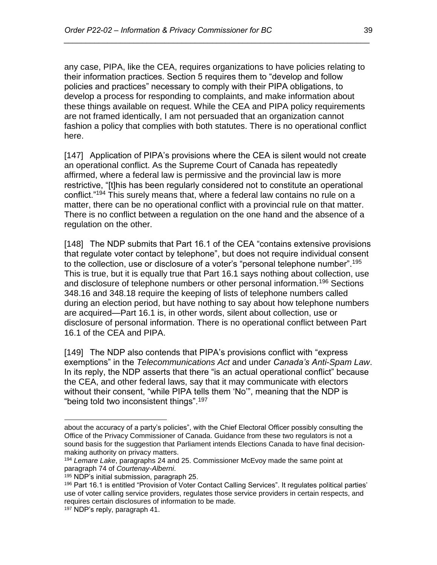any case, PIPA, like the CEA, requires organizations to have policies relating to their information practices. Section 5 requires them to "develop and follow policies and practices" necessary to comply with their PIPA obligations, to develop a process for responding to complaints, and make information about these things available on request. While the CEA and PIPA policy requirements are not framed identically, I am not persuaded that an organization cannot fashion a policy that complies with both statutes. There is no operational conflict here.

*\_\_\_\_\_\_\_\_\_\_\_\_\_\_\_\_\_\_\_\_\_\_\_\_\_\_\_\_\_\_\_\_\_\_\_\_\_\_\_\_\_\_\_\_\_\_\_\_\_\_\_\_\_\_\_\_\_\_\_\_\_\_\_\_\_\_\_\_\_\_*

[147] Application of PIPA's provisions where the CEA is silent would not create an operational conflict. As the Supreme Court of Canada has repeatedly affirmed, where a federal law is permissive and the provincial law is more restrictive, "[t]his has been regularly considered not to constitute an operational conflict."<sup>194</sup> This surely means that, where a federal law contains no rule on a matter, there can be no operational conflict with a provincial rule on that matter. There is no conflict between a regulation on the one hand and the absence of a regulation on the other.

[148] The NDP submits that Part 16.1 of the CEA "contains extensive provisions that regulate voter contact by telephone", but does not require individual consent to the collection, use or disclosure of a voter's "personal telephone number".<sup>195</sup> This is true, but it is equally true that Part 16.1 says nothing about collection, use and disclosure of telephone numbers or other personal information.<sup>196</sup> Sections 348.16 and 348.18 require the keeping of lists of telephone numbers called during an election period, but have nothing to say about how telephone numbers are acquired—Part 16.1 is, in other words, silent about collection, use or disclosure of personal information. There is no operational conflict between Part 16.1 of the CEA and PIPA.

[149] The NDP also contends that PIPA's provisions conflict with "express exemptions" in the *Telecommunications Act* and under *Canada's Anti-Spam Law*. In its reply, the NDP asserts that there "is an actual operational conflict" because the CEA, and other federal laws, say that it may communicate with electors without their consent, "while PIPA tells them 'No'", meaning that the NDP is "being told two inconsistent things".<sup>197</sup>

about the accuracy of a party's policies", with the Chief Electoral Officer possibly consulting the Office of the Privacy Commissioner of Canada. Guidance from these two regulators is not a sound basis for the suggestion that Parliament intends Elections Canada to have final decisionmaking authority on privacy matters.

<sup>194</sup> *Lemare Lake*, paragraphs 24 and 25. Commissioner McEvoy made the same point at paragraph 74 of *Courtenay-Alberni*.

<sup>195</sup> NDP's initial submission, paragraph 25.

<sup>196</sup> Part 16.1 is entitled "Provision of Voter Contact Calling Services". It regulates political parties' use of voter calling service providers, regulates those service providers in certain respects, and requires certain disclosures of information to be made.

<sup>197</sup> NDP's reply, paragraph 41.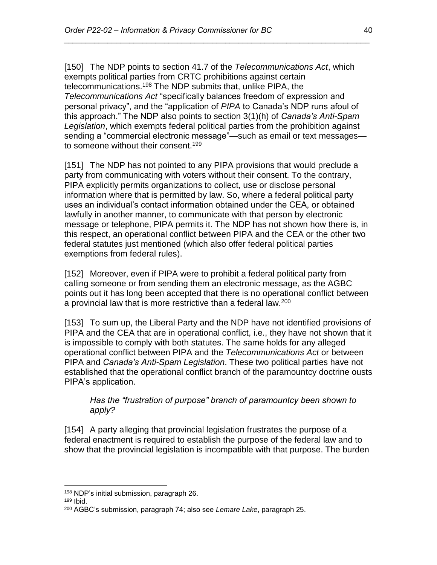[150] The NDP points to section 41.7 of the *Telecommunications Act*, which exempts political parties from CRTC prohibitions against certain telecommunications.<sup>198</sup> The NDP submits that, unlike PIPA, the *Telecommunications Act* "specifically balances freedom of expression and personal privacy", and the "application of *PIPA* to Canada's NDP runs afoul of this approach." The NDP also points to section 3(1)(h) of *Canada's Anti-Spam Legislation*, which exempts federal political parties from the prohibition against sending a "commercial electronic message"—such as email or text messages to someone without their consent.<sup>199</sup>

*\_\_\_\_\_\_\_\_\_\_\_\_\_\_\_\_\_\_\_\_\_\_\_\_\_\_\_\_\_\_\_\_\_\_\_\_\_\_\_\_\_\_\_\_\_\_\_\_\_\_\_\_\_\_\_\_\_\_\_\_\_\_\_\_\_\_\_\_\_\_*

[151] The NDP has not pointed to any PIPA provisions that would preclude a party from communicating with voters without their consent. To the contrary, PIPA explicitly permits organizations to collect, use or disclose personal information where that is permitted by law. So, where a federal political party uses an individual's contact information obtained under the CEA, or obtained lawfully in another manner, to communicate with that person by electronic message or telephone, PIPA permits it. The NDP has not shown how there is, in this respect, an operational conflict between PIPA and the CEA or the other two federal statutes just mentioned (which also offer federal political parties exemptions from federal rules).

[152] Moreover, even if PIPA were to prohibit a federal political party from calling someone or from sending them an electronic message, as the AGBC points out it has long been accepted that there is no operational conflict between a provincial law that is more restrictive than a federal law.<sup>200</sup>

[153] To sum up, the Liberal Party and the NDP have not identified provisions of PIPA and the CEA that are in operational conflict, i.e., they have not shown that it is impossible to comply with both statutes. The same holds for any alleged operational conflict between PIPA and the *Telecommunications Act* or between PIPA and *Canada's Anti-Spam Legislation*. These two political parties have not established that the operational conflict branch of the paramountcy doctrine ousts PIPA's application.

<span id="page-39-0"></span>*Has the "frustration of purpose" branch of paramountcy been shown to apply?*

[154] A party alleging that provincial legislation frustrates the purpose of a federal enactment is required to establish the purpose of the federal law and to show that the provincial legislation is incompatible with that purpose. The burden

<sup>198</sup> NDP's initial submission, paragraph 26.

<sup>199</sup> Ibid.

<sup>200</sup> AGBC's submission, paragraph 74; also see *Lemare Lake*, paragraph 25.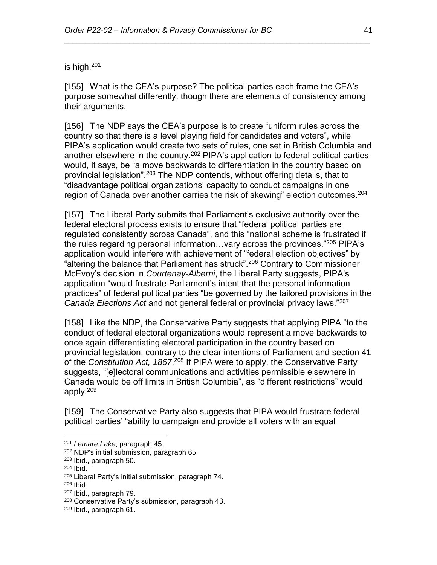is high.<sup>201</sup>

[155] What is the CEA's purpose? The political parties each frame the CEA's purpose somewhat differently, though there are elements of consistency among their arguments.

*\_\_\_\_\_\_\_\_\_\_\_\_\_\_\_\_\_\_\_\_\_\_\_\_\_\_\_\_\_\_\_\_\_\_\_\_\_\_\_\_\_\_\_\_\_\_\_\_\_\_\_\_\_\_\_\_\_\_\_\_\_\_\_\_\_\_\_\_\_\_*

[156] The NDP says the CEA's purpose is to create "uniform rules across the country so that there is a level playing field for candidates and voters", while PIPA's application would create two sets of rules, one set in British Columbia and another elsewhere in the country.<sup>202</sup> PIPA's application to federal political parties would, it says, be "a move backwards to differentiation in the country based on provincial legislation".<sup>203</sup> The NDP contends, without offering details, that to "disadvantage political organizations' capacity to conduct campaigns in one region of Canada over another carries the risk of skewing" election outcomes.<sup>204</sup>

[157] The Liberal Party submits that Parliament's exclusive authority over the federal electoral process exists to ensure that "federal political parties are regulated consistently across Canada", and this "national scheme is frustrated if the rules regarding personal information…vary across the provinces."<sup>205</sup> PIPA's application would interfere with achievement of "federal election objectives" by "altering the balance that Parliament has struck".<sup>206</sup> Contrary to Commissioner McEvoy's decision in *Courtenay-Alberni*, the Liberal Party suggests, PIPA's application "would frustrate Parliament's intent that the personal information practices" of federal political parties "be governed by the tailored provisions in the *Canada Elections Act* and not general federal or provincial privacy laws."<sup>207</sup>

[158] Like the NDP, the Conservative Party suggests that applying PIPA "to the conduct of federal electoral organizations would represent a move backwards to once again differentiating electoral participation in the country based on provincial legislation, contrary to the clear intentions of Parliament and section 41 of the *Constitution Act, 1867*. <sup>208</sup> If PIPA were to apply, the Conservative Party suggests, "[e]lectoral communications and activities permissible elsewhere in Canada would be off limits in British Columbia", as "different restrictions" would apply.<sup>209</sup>

[159] The Conservative Party also suggests that PIPA would frustrate federal political parties' "ability to campaign and provide all voters with an equal

<sup>201</sup> *Lemare Lake*, paragraph 45.

<sup>202</sup> NDP's initial submission, paragraph 65.

<sup>203</sup> Ibid., paragraph 50.

<sup>204</sup> Ibid.

<sup>205</sup> Liberal Party's initial submission, paragraph 74.

<sup>206</sup> Ibid.

<sup>207</sup> Ibid., paragraph 79.

<sup>208</sup> Conservative Party's submission, paragraph 43.

<sup>209</sup> Ibid., paragraph 61.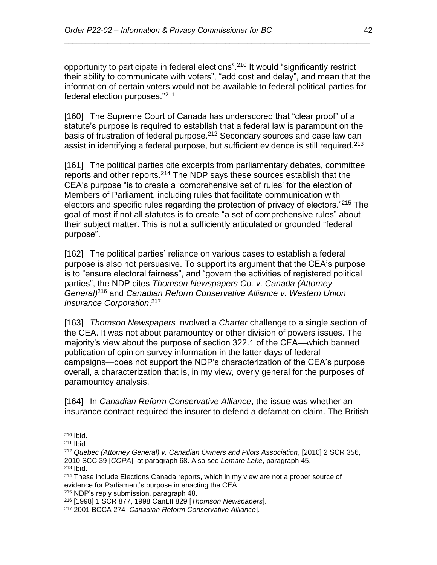opportunity to participate in federal elections".<sup>210</sup> It would "significantly restrict their ability to communicate with voters", "add cost and delay", and mean that the information of certain voters would not be available to federal political parties for federal election purposes."<sup>211</sup>

*\_\_\_\_\_\_\_\_\_\_\_\_\_\_\_\_\_\_\_\_\_\_\_\_\_\_\_\_\_\_\_\_\_\_\_\_\_\_\_\_\_\_\_\_\_\_\_\_\_\_\_\_\_\_\_\_\_\_\_\_\_\_\_\_\_\_\_\_\_\_*

[160] The Supreme Court of Canada has underscored that "clear proof" of a statute's purpose is required to establish that a federal law is paramount on the basis of frustration of federal purpose.<sup>212</sup> Secondary sources and case law can assist in identifying a federal purpose, but sufficient evidence is still required.<sup>213</sup>

[161] The political parties cite excerpts from parliamentary debates, committee reports and other reports.<sup>214</sup> The NDP says these sources establish that the CEA's purpose "is to create a 'comprehensive set of rules' for the election of Members of Parliament, including rules that facilitate communication with electors and specific rules regarding the protection of privacy of electors."<sup>215</sup> The goal of most if not all statutes is to create "a set of comprehensive rules" about their subject matter. This is not a sufficiently articulated or grounded "federal purpose".

[162] The political parties' reliance on various cases to establish a federal purpose is also not persuasive. To support its argument that the CEA's purpose is to "ensure electoral fairness", and "govern the activities of registered political parties", the NDP cites *Thomson Newspapers Co. v. Canada (Attorney General)*<sup>216</sup> and *Canadian Reform Conservative Alliance v. Western Union Insurance Corporation*. 217

[163] *Thomson Newspapers* involved a *Charter* challenge to a single section of the CEA. It was not about paramountcy or other division of powers issues. The majority's view about the purpose of section 322.1 of the CEA—which banned publication of opinion survey information in the latter days of federal campaigns—does not support the NDP's characterization of the CEA's purpose overall, a characterization that is, in my view, overly general for the purposes of paramountcy analysis.

[164] In *Canadian Reform Conservative Alliance*, the issue was whether an insurance contract required the insurer to defend a defamation claim. The British

 $\overline{a}$ 

<sup>215</sup> NDP's reply submission, paragraph 48.

<sup>210</sup> Ibid.

<sup>211</sup> Ibid.

<sup>212</sup> *Quebec (Attorney General) v. Canadian Owners and Pilots Association*, [2010] 2 SCR 356, 2010 SCC 39 [*COPA*], at paragraph 68. Also see *Lemare Lake*, paragraph 45. <sup>213</sup> Ibid.

<sup>&</sup>lt;sup>214</sup> These include Elections Canada reports, which in my view are not a proper source of evidence for Parliament's purpose in enacting the CEA.

<sup>216</sup> [1998] 1 SCR 877, 1998 CanLII 829 [*Thomson Newspapers*].

<sup>217</sup> 2001 BCCA 274 [*Canadian Reform Conservative Alliance*].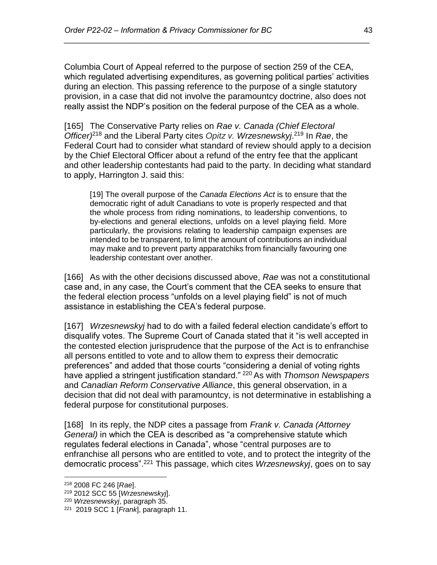Columbia Court of Appeal referred to the purpose of section 259 of the CEA, which regulated advertising expenditures, as governing political parties' activities during an election. This passing reference to the purpose of a single statutory provision, in a case that did not involve the paramountcy doctrine, also does not really assist the NDP's position on the federal purpose of the CEA as a whole.

*\_\_\_\_\_\_\_\_\_\_\_\_\_\_\_\_\_\_\_\_\_\_\_\_\_\_\_\_\_\_\_\_\_\_\_\_\_\_\_\_\_\_\_\_\_\_\_\_\_\_\_\_\_\_\_\_\_\_\_\_\_\_\_\_\_\_\_\_\_\_*

[165] The Conservative Party relies on *Rae v. Canada (Chief Electoral Officer)*<sup>218</sup> and the Liberal Party cites *Opitz v. Wrzesnewskyj*. <sup>219</sup> In *Rae*, the Federal Court had to consider what standard of review should apply to a decision by the Chief Electoral Officer about a refund of the entry fee that the applicant and other leadership contestants had paid to the party. In deciding what standard to apply, Harrington J. said this:

[19] The overall purpose of the *Canada Elections Act* is to ensure that the democratic right of adult Canadians to vote is properly respected and that the whole process from riding nominations, to leadership conventions, to by-elections and general elections, unfolds on a level playing field. More particularly, the provisions relating to leadership campaign expenses are intended to be transparent, to limit the amount of contributions an individual may make and to prevent party apparatchiks from financially favouring one leadership contestant over another.

[166] As with the other decisions discussed above, *Rae* was not a constitutional case and, in any case, the Court's comment that the CEA seeks to ensure that the federal election process "unfolds on a level playing field" is not of much assistance in establishing the CEA's federal purpose.

[167] *Wrzesnewskyj* had to do with a failed federal election candidate's effort to disqualify votes. The Supreme Court of Canada stated that it "is well accepted in the contested election jurisprudence that the purpose of the Act is to enfranchise all persons entitled to vote and to allow them to express their democratic preferences" and added that those courts "considering a denial of voting rights have applied a stringent justification standard." <sup>220</sup> As with *Thomson Newspapers* and *Canadian Reform Conservative Alliance*, this general observation, in a decision that did not deal with paramountcy, is not determinative in establishing a federal purpose for constitutional purposes.

[168] In its reply, the NDP cites a passage from *Frank v. Canada (Attorney General)* in which the CEA is described as "a comprehensive statute which regulates federal elections in Canada", whose "central purposes are to enfranchise all persons who are entitled to vote, and to protect the integrity of the democratic process".<sup>221</sup> This passage, which cites *Wrzesnewskyj*, goes on to say

<sup>218</sup> 2008 FC 246 [*Rae*].

<sup>219</sup> 2012 SCC 55 [*Wrzesnewskyj*].

<sup>220</sup> *Wrzesnewskyj*, paragraph 35.

<sup>221</sup> 2019 SCC 1 [*Frank*], paragraph 11.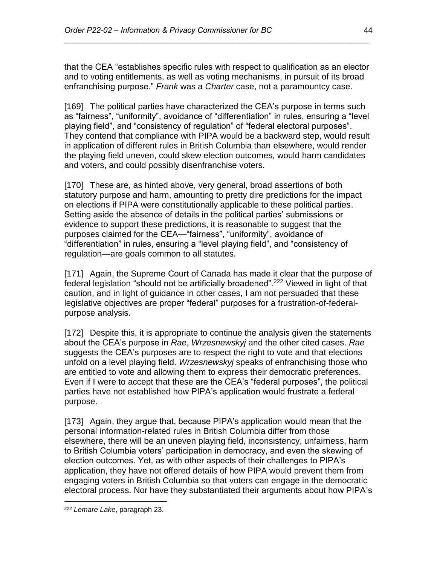that the CEA "establishes specific rules with respect to qualification as an elector and to voting entitlements, as well as voting mechanisms, in pursuit of its broad enfranchising purpose." *Frank* was a *Charter* case, not a paramountcy case.

*\_\_\_\_\_\_\_\_\_\_\_\_\_\_\_\_\_\_\_\_\_\_\_\_\_\_\_\_\_\_\_\_\_\_\_\_\_\_\_\_\_\_\_\_\_\_\_\_\_\_\_\_\_\_\_\_\_\_\_\_\_\_\_\_\_\_\_\_\_\_*

[169] The political parties have characterized the CEA's purpose in terms such as "fairness", "uniformity", avoidance of "differentiation" in rules, ensuring a "level playing field", and "consistency of regulation" of "federal electoral purposes". They contend that compliance with PIPA would be a backward step, would result in application of different rules in British Columbia than elsewhere, would render the playing field uneven, could skew election outcomes, would harm candidates and voters, and could possibly disenfranchise voters.

[170] These are, as hinted above, very general, broad assertions of both statutory purpose and harm, amounting to pretty dire predictions for the impact on elections if PIPA were constitutionally applicable to these political parties. Setting aside the absence of details in the political parties' submissions or evidence to support these predictions, it is reasonable to suggest that the purposes claimed for the CEA—"fairness", "uniformity", avoidance of "differentiation" in rules, ensuring a "level playing field", and "consistency of regulation—are goals common to all statutes.

[171] Again, the Supreme Court of Canada has made it clear that the purpose of federal legislation "should not be artificially broadened".<sup>222</sup> Viewed in light of that caution, and in light of guidance in other cases, I am not persuaded that these legislative objectives are proper "federal" purposes for a frustration-of-federalpurpose analysis.

[172] Despite this, it is appropriate to continue the analysis given the statements about the CEA's purpose in *Rae*, *Wrzesnewskyj* and the other cited cases. *Rae* suggests the CEA's purposes are to respect the right to vote and that elections unfold on a level playing field. *Wrzesnewskyj* speaks of enfranchising those who are entitled to vote and allowing them to express their democratic preferences. Even if I were to accept that these are the CEA's "federal purposes", the political parties have not established how PIPA's application would frustrate a federal purpose.

[173] Again, they argue that, because PIPA's application would mean that the personal information-related rules in British Columbia differ from those elsewhere, there will be an uneven playing field, inconsistency, unfairness, harm to British Columbia voters' participation in democracy, and even the skewing of election outcomes. Yet, as with other aspects of their challenges to PIPA's application, they have not offered details of how PIPA would prevent them from engaging voters in British Columbia so that voters can engage in the democratic electoral process. Nor have they substantiated their arguments about how PIPA's

<sup>222</sup> *Lemare Lake*, paragraph 23.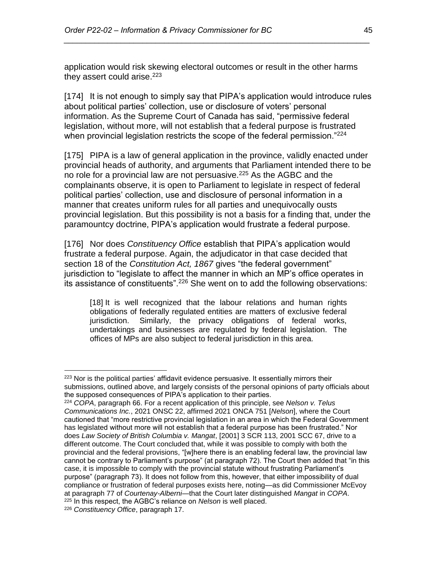application would risk skewing electoral outcomes or result in the other harms they assert could arise.<sup>223</sup>

*\_\_\_\_\_\_\_\_\_\_\_\_\_\_\_\_\_\_\_\_\_\_\_\_\_\_\_\_\_\_\_\_\_\_\_\_\_\_\_\_\_\_\_\_\_\_\_\_\_\_\_\_\_\_\_\_\_\_\_\_\_\_\_\_\_\_\_\_\_\_*

[174] It is not enough to simply say that PIPA's application would introduce rules about political parties' collection, use or disclosure of voters' personal information. As the Supreme Court of Canada has said, "permissive federal legislation, without more, will not establish that a federal purpose is frustrated when provincial legislation restricts the scope of the federal permission."<sup>224</sup>

[175] PIPA is a law of general application in the province, validly enacted under provincial heads of authority, and arguments that Parliament intended there to be no role for a provincial law are not persuasive.<sup>225</sup> As the AGBC and the complainants observe, it is open to Parliament to legislate in respect of federal political parties' collection, use and disclosure of personal information in a manner that creates uniform rules for all parties and unequivocally ousts provincial legislation. But this possibility is not a basis for a finding that, under the paramountcy doctrine, PIPA's application would frustrate a federal purpose.

[176] Nor does *Constituency Office* establish that PIPA's application would frustrate a federal purpose. Again, the adjudicator in that case decided that section 18 of the *Constitution Act, 1867* gives "the federal government" jurisdiction to "legislate to affect the manner in which an MP's office operates in its assistance of constituents".<sup>226</sup> She went on to add the following observations:

[18] It is well recognized that the labour relations and human rights obligations of federally regulated entities are matters of exclusive federal jurisdiction. Similarly, the privacy obligations of federal works, undertakings and businesses are regulated by federal legislation. The offices of MPs are also subject to federal jurisdiction in this area.

 $223$  Nor is the political parties' affidavit evidence persuasive. It essentially mirrors their submissions, outlined above, and largely consists of the personal opinions of party officials about the supposed consequences of PIPA's application to their parties.

<sup>224</sup> *COPA*, paragraph 66. For a recent application of this principle, see *Nelson v. Telus Communications Inc.*, 2021 ONSC 22, affirmed 2021 ONCA 751 [*Nelson*], where the Court cautioned that "more restrictive provincial legislation in an area in which the Federal Government has legislated without more will not establish that a federal purpose has been frustrated." Nor does *Law Society of British Columbia v. Mangat*, [2001] 3 SCR 113, 2001 SCC 67, drive to a different outcome. The Court concluded that, while it was possible to comply with both the provincial and the federal provisions, "[w]here there is an enabling federal law, the provincial law cannot be contrary to Parliament's purpose" (at paragraph 72). The Court then added that "in this case, it is impossible to comply with the provincial statute without frustrating Parliament's purpose" (paragraph 73). It does not follow from this, however, that either impossibility of dual compliance or frustration of federal purposes exists here, noting—as did Commissioner McEvoy at paragraph 77 of *Courtenay-Alberni*—that the Court later distinguished *Mangat* in *COPA*. <sup>225</sup> In this respect, the AGBC's reliance on *Nelson* is well placed.

<sup>226</sup> *Constituency Office*, paragraph 17.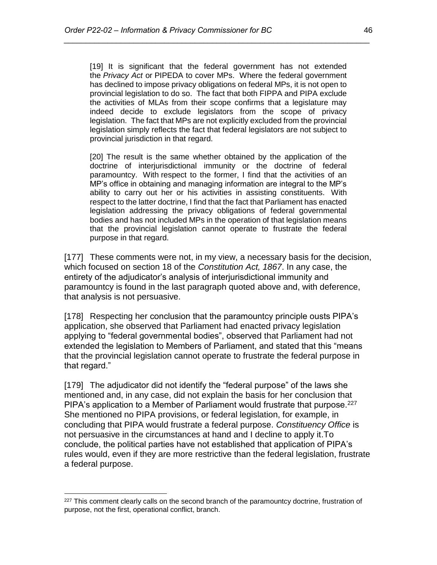[19] It is significant that the federal government has not extended the *Privacy Act* or PIPEDA to cover MPs. Where the federal government has declined to impose privacy obligations on federal MPs, it is not open to provincial legislation to do so. The fact that both FIPPA and PIPA exclude the activities of MLAs from their scope confirms that a legislature may indeed decide to exclude legislators from the scope of privacy legislation. The fact that MPs are not explicitly excluded from the provincial legislation simply reflects the fact that federal legislators are not subject to provincial jurisdiction in that regard.

*\_\_\_\_\_\_\_\_\_\_\_\_\_\_\_\_\_\_\_\_\_\_\_\_\_\_\_\_\_\_\_\_\_\_\_\_\_\_\_\_\_\_\_\_\_\_\_\_\_\_\_\_\_\_\_\_\_\_\_\_\_\_\_\_\_\_\_\_\_\_*

[20] The result is the same whether obtained by the application of the doctrine of interjurisdictional immunity or the doctrine of federal paramountcy. With respect to the former, I find that the activities of an MP's office in obtaining and managing information are integral to the MP's ability to carry out her or his activities in assisting constituents. With respect to the latter doctrine, I find that the fact that Parliament has enacted legislation addressing the privacy obligations of federal governmental bodies and has not included MPs in the operation of that legislation means that the provincial legislation cannot operate to frustrate the federal purpose in that regard.

[177] These comments were not, in my view, a necessary basis for the decision, which focused on section 18 of the *Constitution Act, 1867*. In any case, the entirety of the adjudicator's analysis of interjurisdictional immunity and paramountcy is found in the last paragraph quoted above and, with deference, that analysis is not persuasive.

[178] Respecting her conclusion that the paramountcy principle ousts PIPA's application, she observed that Parliament had enacted privacy legislation applying to "federal governmental bodies", observed that Parliament had not extended the legislation to Members of Parliament, and stated that this "means that the provincial legislation cannot operate to frustrate the federal purpose in that regard."

[179] The adjudicator did not identify the "federal purpose" of the laws she mentioned and, in any case, did not explain the basis for her conclusion that PIPA's application to a Member of Parliament would frustrate that purpose.<sup>227</sup> She mentioned no PIPA provisions, or federal legislation, for example, in concluding that PIPA would frustrate a federal purpose. *Constituency Office* is not persuasive in the circumstances at hand and I decline to apply it.To conclude, the political parties have not established that application of PIPA's rules would, even if they are more restrictive than the federal legislation, frustrate a federal purpose.

 $227$  This comment clearly calls on the second branch of the paramountcy doctrine, frustration of purpose, not the first, operational conflict, branch.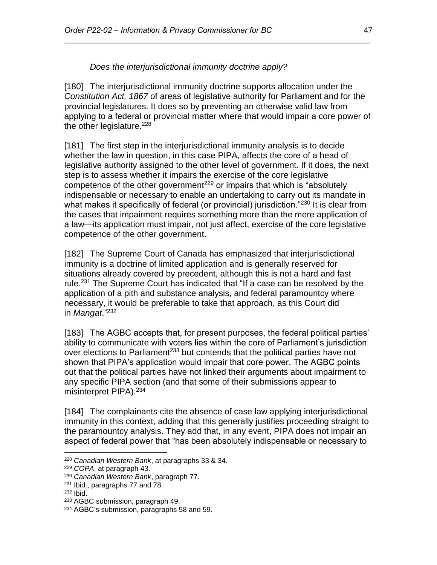*Does the interjurisdictional immunity doctrine apply?*

<span id="page-46-0"></span>[180] The interjurisdictional immunity doctrine supports allocation under the *Constitution Act, 1867* of areas of legislative authority for Parliament and for the provincial legislatures. It does so by preventing an otherwise valid law from applying to a federal or provincial matter where that would impair a core power of the other legislature. $228$ 

*\_\_\_\_\_\_\_\_\_\_\_\_\_\_\_\_\_\_\_\_\_\_\_\_\_\_\_\_\_\_\_\_\_\_\_\_\_\_\_\_\_\_\_\_\_\_\_\_\_\_\_\_\_\_\_\_\_\_\_\_\_\_\_\_\_\_\_\_\_\_*

[181] The first step in the interjurisdictional immunity analysis is to decide whether the law in question, in this case PIPA, affects the core of a head of legislative authority assigned to the other level of government. If it does, the next step is to assess whether it impairs the exercise of the core legislative competence of the other government<sup>229</sup> or impairs that which is "absolutely indispensable or necessary to enable an undertaking to carry out its mandate in what makes it specifically of federal (or provincial) jurisdiction."<sup>230</sup> It is clear from the cases that impairment requires something more than the mere application of a law—its application must impair, not just affect, exercise of the core legislative competence of the other government.

[182] The Supreme Court of Canada has emphasized that interjurisdictional immunity is a doctrine of limited application and is generally reserved for situations already covered by precedent, although this is not a hard and fast rule.<sup>231</sup> The Supreme Court has indicated that "If a case can be resolved by the application of a pith and substance analysis, and federal paramountcy where necessary, it would be preferable to take that approach, as this Court did in *Mangat*."<sup>232</sup>

[183] The AGBC accepts that, for present purposes, the federal political parties' ability to communicate with voters lies within the core of Parliament's jurisdiction over elections to Parliament<sup>233</sup> but contends that the political parties have not shown that PIPA's application would impair that core power. The AGBC points out that the political parties have not linked their arguments about impairment to any specific PIPA section (and that some of their submissions appear to misinterpret PIPA).<sup>234</sup>

[184] The complainants cite the absence of case law applying interjurisdictional immunity in this context, adding that this generally justifies proceeding straight to the paramountcy analysis. They add that, in any event, PIPA does not impair an aspect of federal power that "has been absolutely indispensable or necessary to

 $\overline{a}$ <sup>228</sup> *Canadian Western Bank*, at paragraphs 33 & 34.

<sup>229</sup> *COPA*, at paragraph 43.

<sup>230</sup> *Canadian Western Bank*, paragraph 77.

<sup>231</sup> Ibid., paragraphs 77 and 78.

<sup>232</sup> Ibid.

<sup>&</sup>lt;sup>233</sup> AGBC submission, paragraph 49.

<sup>&</sup>lt;sup>234</sup> AGBC's submission, paragraphs 58 and 59.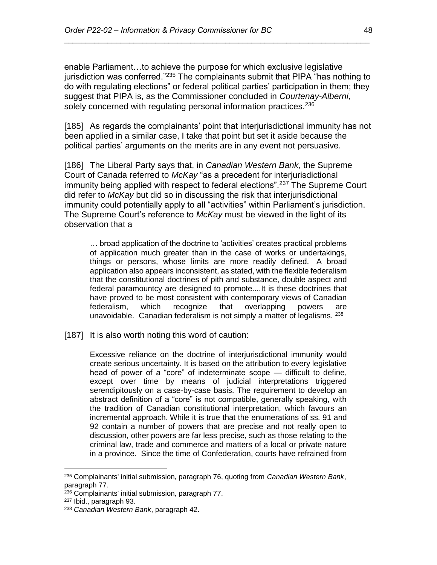enable Parliament…to achieve the purpose for which exclusive legislative jurisdiction was conferred."<sup>235</sup> The complainants submit that PIPA "has nothing to do with regulating elections" or federal political parties' participation in them; they suggest that PIPA is, as the Commissioner concluded in *Courtenay-Alberni*, solely concerned with regulating personal information practices.<sup>236</sup>

*\_\_\_\_\_\_\_\_\_\_\_\_\_\_\_\_\_\_\_\_\_\_\_\_\_\_\_\_\_\_\_\_\_\_\_\_\_\_\_\_\_\_\_\_\_\_\_\_\_\_\_\_\_\_\_\_\_\_\_\_\_\_\_\_\_\_\_\_\_\_*

[185] As regards the complainants' point that interjurisdictional immunity has not been applied in a similar case, I take that point but set it aside because the political parties' arguments on the merits are in any event not persuasive.

[186] The Liberal Party says that, in *Canadian Western Bank*, the Supreme Court of Canada referred to *McKay* "as a precedent for interjurisdictional immunity being applied with respect to federal elections".<sup>237</sup> The Supreme Court did refer to *McKay* but did so in discussing the risk that interjurisdictional immunity could potentially apply to all "activities" within Parliament's jurisdiction. The Supreme Court's reference to *McKay* must be viewed in the light of its observation that a

… broad application of the doctrine to 'activities' creates practical problems of application much greater than in the case of works or undertakings, things or persons, whose limits are more readily defined. A broad application also appears inconsistent, as stated, with the flexible federalism that the constitutional doctrines of pith and substance, double aspect and federal paramountcy are designed to promote....It is these doctrines that have proved to be most consistent with contemporary views of Canadian federalism, which recognize that overlapping powers are unavoidable. Canadian federalism is not simply a matter of legalisms. <sup>238</sup>

[187] It is also worth noting this word of caution:

Excessive reliance on the doctrine of interjurisdictional immunity would create serious uncertainty. It is based on the attribution to every legislative head of power of a "core" of indeterminate scope — difficult to define, except over time by means of judicial interpretations triggered serendipitously on a case-by-case basis. The requirement to develop an abstract definition of a "core" is not compatible, generally speaking, with the tradition of Canadian constitutional interpretation, which favours an incremental approach. While it is true that the enumerations of ss. 91 and 92 contain a number of powers that are precise and not really open to discussion, other powers are far less precise, such as those relating to the criminal law, trade and commerce and matters of a local or private nature in a province. Since the time of Confederation, courts have refrained from

<sup>235</sup> Complainants' initial submission, paragraph 76, quoting from *Canadian Western Bank*, paragraph 77.

<sup>236</sup> Complainants' initial submission, paragraph 77.

<sup>237</sup> Ibid., paragraph 93.

<sup>238</sup> *Canadian Western Bank*, paragraph 42.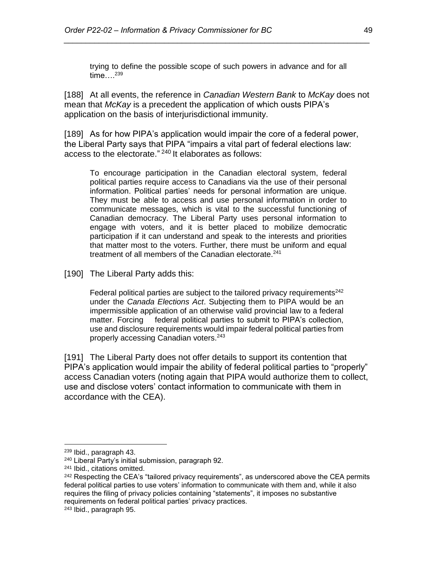trying to define the possible scope of such powers in advance and for all time....<sup>239</sup>

*\_\_\_\_\_\_\_\_\_\_\_\_\_\_\_\_\_\_\_\_\_\_\_\_\_\_\_\_\_\_\_\_\_\_\_\_\_\_\_\_\_\_\_\_\_\_\_\_\_\_\_\_\_\_\_\_\_\_\_\_\_\_\_\_\_\_\_\_\_\_*

[188] At all events, the reference in *Canadian Western Bank* to *McKay* does not mean that *McKay* is a precedent the application of which ousts PIPA's application on the basis of interjurisdictional immunity.

[189] As for how PIPA's application would impair the core of a federal power, the Liberal Party says that PIPA "impairs a vital part of federal elections law: access to the electorate." <sup>240</sup> It elaborates as follows:

To encourage participation in the Canadian electoral system, federal political parties require access to Canadians via the use of their personal information. Political parties' needs for personal information are unique. They must be able to access and use personal information in order to communicate messages, which is vital to the successful functioning of Canadian democracy. The Liberal Party uses personal information to engage with voters, and it is better placed to mobilize democratic participation if it can understand and speak to the interests and priorities that matter most to the voters. Further, there must be uniform and equal treatment of all members of the Canadian electorate.<sup>241</sup>

[190] The Liberal Party adds this:

Federal political parties are subject to the tailored privacy requirements<sup>242</sup> under the *Canada Elections Act*. Subjecting them to PIPA would be an impermissible application of an otherwise valid provincial law to a federal matter. Forcing federal political parties to submit to PIPA's collection, use and disclosure requirements would impair federal political parties from properly accessing Canadian voters.<sup>243</sup>

[191] The Liberal Party does not offer details to support its contention that PIPA's application would impair the ability of federal political parties to "properly" access Canadian voters (noting again that PIPA would authorize them to collect, use and disclose voters' contact information to communicate with them in accordance with the CEA).

<sup>239</sup> Ibid., paragraph 43.

<sup>240</sup> Liberal Party's initial submission, paragraph 92.

<sup>241</sup> Ibid., citations omitted.

 $242$  Respecting the CEA's "tailored privacy requirements", as underscored above the CEA permits federal political parties to use voters' information to communicate with them and, while it also requires the filing of privacy policies containing "statements", it imposes no substantive requirements on federal political parties' privacy practices.

<sup>243</sup> Ibid., paragraph 95.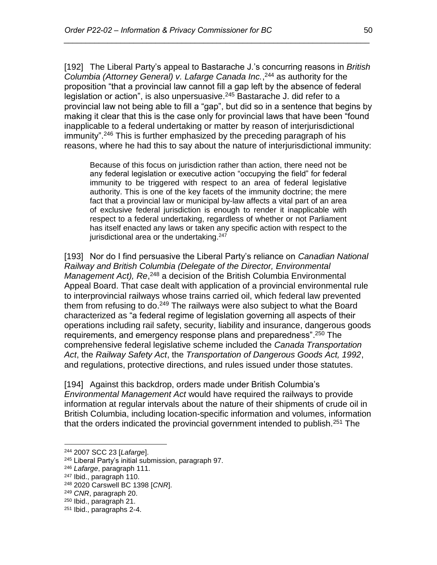[192] The Liberal Party's appeal to Bastarache J.'s concurring reasons in *British Columbia (Attorney General) v. Lafarge Canada Inc.*, <sup>244</sup> as authority for the proposition "that a provincial law cannot fill a gap left by the absence of federal legislation or action", is also unpersuasive. $245$  Bastarache J. did refer to a provincial law not being able to fill a "gap", but did so in a sentence that begins by making it clear that this is the case only for provincial laws that have been "found inapplicable to a federal undertaking or matter by reason of interjurisdictional immunity".<sup>246</sup> This is further emphasized by the preceding paragraph of his reasons, where he had this to say about the nature of interjurisdictional immunity:

*\_\_\_\_\_\_\_\_\_\_\_\_\_\_\_\_\_\_\_\_\_\_\_\_\_\_\_\_\_\_\_\_\_\_\_\_\_\_\_\_\_\_\_\_\_\_\_\_\_\_\_\_\_\_\_\_\_\_\_\_\_\_\_\_\_\_\_\_\_\_*

Because of this focus on jurisdiction rather than action, there need not be any federal legislation or executive action "occupying the field" for federal immunity to be triggered with respect to an area of federal legislative authority. This is one of the key facets of the immunity doctrine; the mere fact that a provincial law or municipal by-law affects a vital part of an area of exclusive federal jurisdiction is enough to render it inapplicable with respect to a federal undertaking, regardless of whether or not Parliament has itself enacted any laws or taken any specific action with respect to the jurisdictional area or the undertaking.<sup>247</sup>

[193] Nor do I find persuasive the Liberal Party's reliance on *Canadian National Railway and British Columbia (Delegate of the Director, Environmental*  Management Act), Re,<sup>248</sup> a decision of the British Columbia Environmental Appeal Board. That case dealt with application of a provincial environmental rule to interprovincial railways whose trains carried oil, which federal law prevented them from refusing to do.<sup>249</sup> The railways were also subject to what the Board characterized as "a federal regime of legislation governing all aspects of their operations including rail safety, security, liability and insurance, dangerous goods requirements, and emergency response plans and preparedness".<sup>250</sup> The comprehensive federal legislative scheme included the *Canada Transportation Act*, the *Railway Safety Act*, the *Transportation of Dangerous Goods Act, 1992*, and regulations, protective directions, and rules issued under those statutes.

[194] Against this backdrop, orders made under British Columbia's *Environmental Management Act* would have required the railways to provide information at regular intervals about the nature of their shipments of crude oil in British Columbia, including location-specific information and volumes, information that the orders indicated the provincial government intended to publish.<sup>251</sup> The

<sup>244</sup> 2007 SCC 23 [*Lafarge*].

<sup>245</sup> Liberal Party's initial submission, paragraph 97.

<sup>246</sup> *Lafarge*, paragraph 111.

<sup>&</sup>lt;sup>247</sup> Ibid., paragraph 110.

<sup>248</sup> 2020 Carswell BC 1398 [*CNR*].

<sup>249</sup> *CNR*, paragraph 20.

<sup>250</sup> Ibid., paragraph 21.

<sup>251</sup> Ibid., paragraphs 2-4.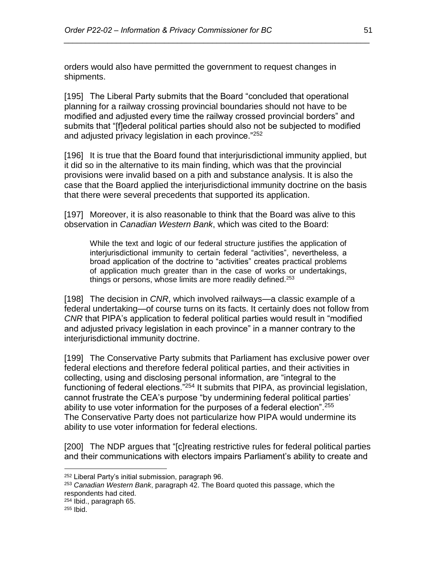orders would also have permitted the government to request changes in shipments.

[195] The Liberal Party submits that the Board "concluded that operational planning for a railway crossing provincial boundaries should not have to be modified and adjusted every time the railway crossed provincial borders" and submits that "[f]ederal political parties should also not be subjected to modified and adjusted privacy legislation in each province."<sup>252</sup>

*\_\_\_\_\_\_\_\_\_\_\_\_\_\_\_\_\_\_\_\_\_\_\_\_\_\_\_\_\_\_\_\_\_\_\_\_\_\_\_\_\_\_\_\_\_\_\_\_\_\_\_\_\_\_\_\_\_\_\_\_\_\_\_\_\_\_\_\_\_\_*

[196] It is true that the Board found that interjurisdictional immunity applied, but it did so in the alternative to its main finding, which was that the provincial provisions were invalid based on a pith and substance analysis. It is also the case that the Board applied the interjurisdictional immunity doctrine on the basis that there were several precedents that supported its application.

[197] Moreover, it is also reasonable to think that the Board was alive to this observation in *Canadian Western Bank*, which was cited to the Board:

While the text and logic of our federal structure justifies the application of interjurisdictional immunity to certain federal "activities", nevertheless, a broad application of the doctrine to "activities" creates practical problems of application much greater than in the case of works or undertakings, things or persons, whose limits are more readily defined.<sup>253</sup>

[198] The decision in *CNR*, which involved railways—a classic example of a federal undertaking—of course turns on its facts. It certainly does not follow from *CNR* that PIPA's application to federal political parties would result in "modified and adjusted privacy legislation in each province" in a manner contrary to the interjurisdictional immunity doctrine.

[199] The Conservative Party submits that Parliament has exclusive power over federal elections and therefore federal political parties, and their activities in collecting, using and disclosing personal information, are "integral to the functioning of federal elections."<sup>254</sup> It submits that PIPA, as provincial legislation, cannot frustrate the CEA's purpose "by undermining federal political parties' ability to use voter information for the purposes of a federal election".<sup>255</sup> The Conservative Party does not particularize how PIPA would undermine its ability to use voter information for federal elections.

[200] The NDP argues that "[c]reating restrictive rules for federal political parties and their communications with electors impairs Parliament's ability to create and

<sup>252</sup> Liberal Party's initial submission, paragraph 96.

<sup>253</sup> *Canadian Western Bank*, paragraph 42. The Board quoted this passage, which the respondents had cited.

<sup>254</sup> Ibid., paragraph 65.

 $255$  Ibid.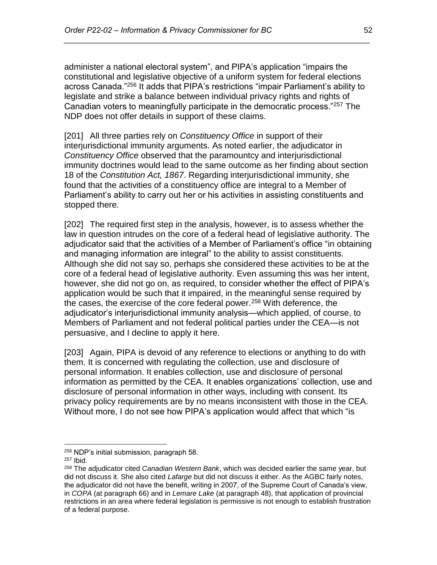administer a national electoral system", and PIPA's application "impairs the constitutional and legislative objective of a uniform system for federal elections across Canada."<sup>256</sup> It adds that PIPA's restrictions "impair Parliament's ability to legislate and strike a balance between individual privacy rights and rights of Canadian voters to meaningfully participate in the democratic process."<sup>257</sup> The NDP does not offer details in support of these claims.

*\_\_\_\_\_\_\_\_\_\_\_\_\_\_\_\_\_\_\_\_\_\_\_\_\_\_\_\_\_\_\_\_\_\_\_\_\_\_\_\_\_\_\_\_\_\_\_\_\_\_\_\_\_\_\_\_\_\_\_\_\_\_\_\_\_\_\_\_\_\_*

[201] All three parties rely on *Constituency Office* in support of their interjurisdictional immunity arguments. As noted earlier, the adjudicator in *Constituency Office* observed that the paramountcy and interjurisdictional immunity doctrines would lead to the same outcome as her finding about section 18 of the *Constitution Act, 1867*. Regarding interjurisdictional immunity, she found that the activities of a constituency office are integral to a Member of Parliament's ability to carry out her or his activities in assisting constituents and stopped there.

[202] The required first step in the analysis, however, is to assess whether the law in question intrudes on the core of a federal head of legislative authority. The adjudicator said that the activities of a Member of Parliament's office "in obtaining and managing information are integral" to the ability to assist constituents. Although she did not say so, perhaps she considered these activities to be at the core of a federal head of legislative authority. Even assuming this was her intent, however, she did not go on, as required, to consider whether the effect of PIPA's application would be such that it impaired, in the meaningful sense required by the cases, the exercise of the core federal power.<sup>258</sup> With deference, the adjudicator's interjurisdictional immunity analysis—which applied, of course, to Members of Parliament and not federal political parties under the CEA—is not persuasive, and I decline to apply it here.

[203] Again, PIPA is devoid of any reference to elections or anything to do with them. It is concerned with regulating the collection, use and disclosure of personal information. It enables collection, use and disclosure of personal information as permitted by the CEA. It enables organizations' collection, use and disclosure of personal information in other ways, including with consent. Its privacy policy requirements are by no means inconsistent with those in the CEA. Without more, I do not see how PIPA's application would affect that which "is

<sup>256</sup> NDP's initial submission, paragraph 58.

<sup>257</sup> Ibid.

<sup>258</sup> The adjudicator cited *Canadian Western Bank*, which was decided earlier the same year, but did not discuss it. She also cited *Lafarge* but did not discuss it either. As the AGBC fairly notes, the adjudicator did not have the benefit, writing in 2007, of the Supreme Court of Canada's view, in *COPA* (at paragraph 66) and in *Lemare Lake* (at paragraph 48), that application of provincial restrictions in an area where federal legislation is permissive is not enough to establish frustration of a federal purpose.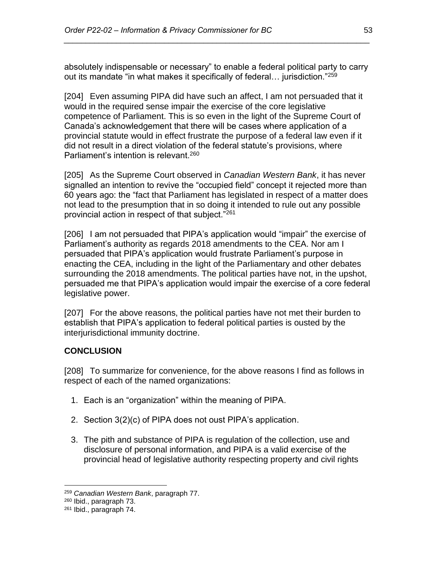absolutely indispensable or necessary" to enable a federal political party to carry out its mandate "in what makes it specifically of federal... jurisdiction."<sup>259</sup>

*\_\_\_\_\_\_\_\_\_\_\_\_\_\_\_\_\_\_\_\_\_\_\_\_\_\_\_\_\_\_\_\_\_\_\_\_\_\_\_\_\_\_\_\_\_\_\_\_\_\_\_\_\_\_\_\_\_\_\_\_\_\_\_\_\_\_\_\_\_\_*

[204] Even assuming PIPA did have such an affect, I am not persuaded that it would in the required sense impair the exercise of the core legislative competence of Parliament. This is so even in the light of the Supreme Court of Canada's acknowledgement that there will be cases where application of a provincial statute would in effect frustrate the purpose of a federal law even if it did not result in a direct violation of the federal statute's provisions, where Parliament's intention is relevant.<sup>260</sup>

[205] As the Supreme Court observed in *Canadian Western Bank*, it has never signalled an intention to revive the "occupied field" concept it rejected more than 60 years ago: the "fact that Parliament has legislated in respect of a matter does not lead to the presumption that in so doing it intended to rule out any possible provincial action in respect of that subject."<sup>261</sup>

[206] I am not persuaded that PIPA's application would "impair" the exercise of Parliament's authority as regards 2018 amendments to the CEA. Nor am I persuaded that PIPA's application would frustrate Parliament's purpose in enacting the CEA, including in the light of the Parliamentary and other debates surrounding the 2018 amendments. The political parties have not, in the upshot, persuaded me that PIPA's application would impair the exercise of a core federal legislative power.

[207] For the above reasons, the political parties have not met their burden to establish that PIPA's application to federal political parties is ousted by the interjurisdictional immunity doctrine.

# <span id="page-52-0"></span>**CONCLUSION**

[208] To summarize for convenience, for the above reasons I find as follows in respect of each of the named organizations:

- 1. Each is an "organization" within the meaning of PIPA.
- 2. Section 3(2)(c) of PIPA does not oust PIPA's application.
- 3. The pith and substance of PIPA is regulation of the collection, use and disclosure of personal information, and PIPA is a valid exercise of the provincial head of legislative authority respecting property and civil rights

<sup>259</sup> *Canadian Western Bank*, paragraph 77.

<sup>260</sup> Ibid., paragraph 73.

<sup>261</sup> Ibid., paragraph 74.